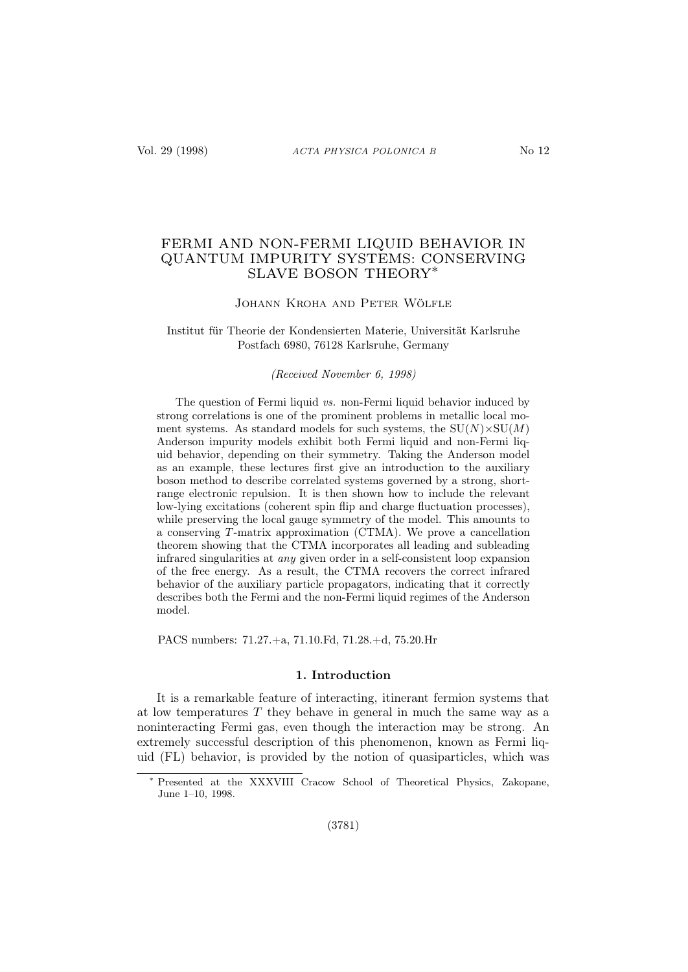# FERMI AND NON-FERMI LIQUID BEHAVIOR IN QUANTUM IMPURITY SYSTEMS: CONSERVING SLAVE BOSON THEORY∗

## Johann Kroha and Peter Wölfle

## Institut für Theorie der Kondensierten Materie, Universität Karlsruhe Postfach 6980, 76128 Karlsruhe, Germany

#### (Received November 6, 1998)

The question of Fermi liquid vs. non-Fermi liquid behavior induced by strong correlations is one of the prominent problems in metallic local moment systems. As standard models for such systems, the  $SU(N) \times SU(M)$ Anderson impurity models exhibit both Fermi liquid and non-Fermi liquid behavior, depending on their symmetry. Taking the Anderson model as an example, these lectures first give an introduction to the auxiliary boson method to describe correlated systems governed by a strong, shortrange electronic repulsion. It is then shown how to include the relevant low-lying excitations (coherent spin flip and charge fluctuation processes), while preserving the local gauge symmetry of the model. This amounts to a conserving T -matrix approximation (CTMA). We prove a cancellation theorem showing that the CTMA incorporates all leading and subleading infrared singularities at any given order in a self-consistent loop expansion of the free energy. As a result, the CTMA recovers the correct infrared behavior of the auxiliary particle propagators, indicating that it correctly describes both the Fermi and the non-Fermi liquid regimes of the Anderson model.

PACS numbers: 71.27.+a, 71.10.Fd, 71.28.+d, 75.20.Hr

## 1. Introduction

It is a remarkable feature of interacting, itinerant fermion systems that at low temperatures  $T$  they behave in general in much the same way as a noninteracting Fermi gas, even though the interaction may be strong. An extremely successful description of this phenomenon, known as Fermi liquid (FL) behavior, is provided by the notion of quasiparticles, which was

Presented at the XXXVIII Cracow School of Theoretical Physics, Zakopane, June 1–10, 1998.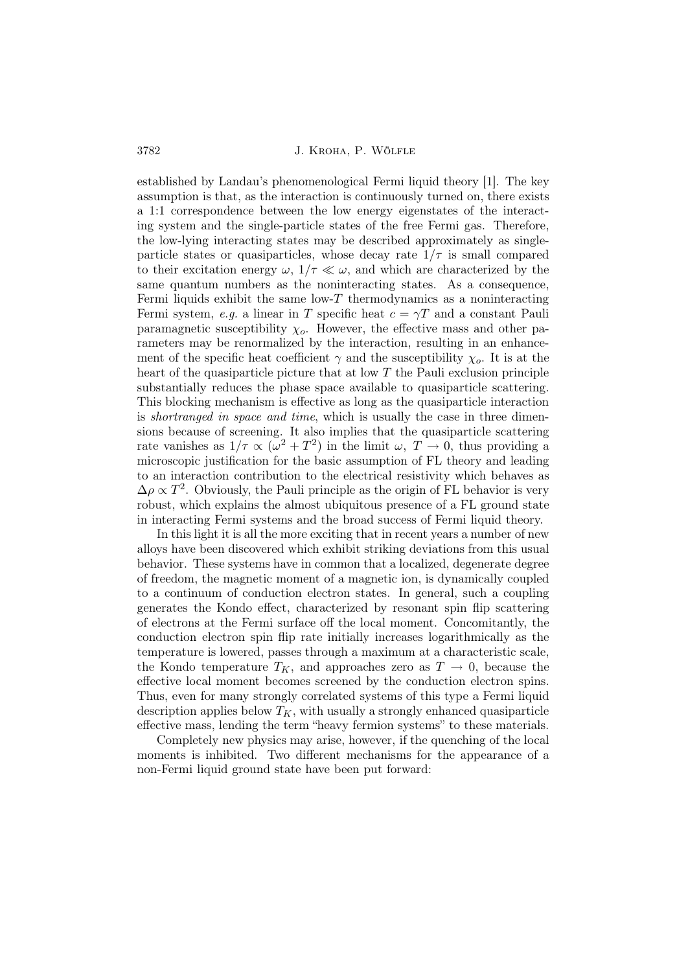established by Landau's phenomenological Fermi liquid theory [1]. The key assumption is that, as the interaction is continuously turned on, there exists a 1:1 correspondence between the low energy eigenstates of the interacting system and the single-particle states of the free Fermi gas. Therefore, the low-lying interacting states may be described approximately as singleparticle states or quasiparticles, whose decay rate  $1/\tau$  is small compared to their excitation energy  $\omega$ ,  $1/\tau \ll \omega$ , and which are characterized by the same quantum numbers as the noninteracting states. As a consequence, Fermi liquids exhibit the same low- $T$  thermodynamics as a noninteracting Fermi system, e.g. a linear in T specific heat  $c = \gamma T$  and a constant Pauli paramagnetic susceptibility  $\chi_o$ . However, the effective mass and other parameters may be renormalized by the interaction, resulting in an enhancement of the specific heat coefficient  $\gamma$  and the susceptibility  $\chi_o$ . It is at the heart of the quasiparticle picture that at low  $T$  the Pauli exclusion principle substantially reduces the phase space available to quasiparticle scattering. This blocking mechanism is effective as long as the quasiparticle interaction is shortranged in space and time, which is usually the case in three dimensions because of screening. It also implies that the quasiparticle scattering rate vanishes as  $1/\tau \propto (\omega^2 + T^2)$  in the limit  $\omega$ ,  $T \to 0$ , thus providing a microscopic justification for the basic assumption of FL theory and leading to an interaction contribution to the electrical resistivity which behaves as  $\Delta \rho \propto T^2$ . Obviously, the Pauli principle as the origin of FL behavior is very robust, which explains the almost ubiquitous presence of a FL ground state in interacting Fermi systems and the broad success of Fermi liquid theory.

In this light it is all the more exciting that in recent years a number of new alloys have been discovered which exhibit striking deviations from this usual behavior. These systems have in common that a localized, degenerate degree of freedom, the magnetic moment of a magnetic ion, is dynamically coupled to a continuum of conduction electron states. In general, such a coupling generates the Kondo effect, characterized by resonant spin flip scattering of electrons at the Fermi surface off the local moment. Concomitantly, the conduction electron spin flip rate initially increases logarithmically as the temperature is lowered, passes through a maximum at a characteristic scale, the Kondo temperature  $T_K$ , and approaches zero as  $T \to 0$ , because the effective local moment becomes screened by the conduction electron spins. Thus, even for many strongly correlated systems of this type a Fermi liquid description applies below  $T_K$ , with usually a strongly enhanced quasiparticle effective mass, lending the term "heavy fermion systems" to these materials.

Completely new physics may arise, however, if the quenching of the local moments is inhibited. Two different mechanisms for the appearance of a non-Fermi liquid ground state have been put forward: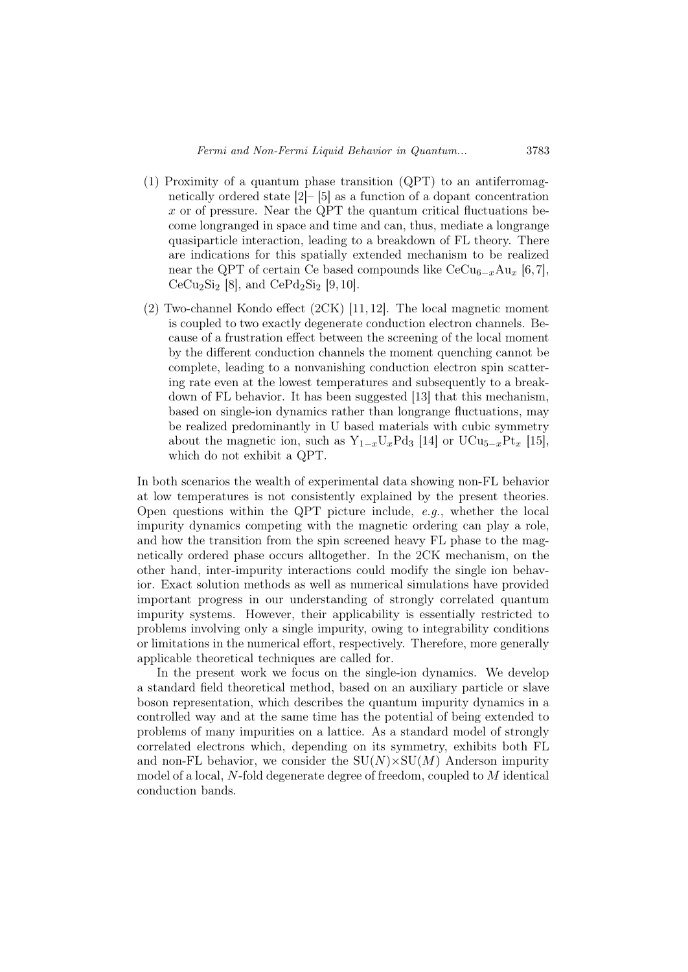- (1) Proximity of a quantum phase transition (QPT) to an antiferromagnetically ordered state [2]– [5] as a function of a dopant concentration  $x$  or of pressure. Near the QPT the quantum critical fluctuations become longranged in space and time and can, thus, mediate a longrange quasiparticle interaction, leading to a breakdown of FL theory. There are indications for this spatially extended mechanism to be realized near the QPT of certain Ce based compounds like  $CeCu_{6-x}Au_{x}$  [6,7], CeCu<sub>2</sub>Si<sub>2</sub> [8], and CePd<sub>2</sub>Si<sub>2</sub> [9, 10].
- (2) Two-channel Kondo effect (2CK) [11, 12]. The local magnetic moment is coupled to two exactly degenerate conduction electron channels. Because of a frustration effect between the screening of the local moment by the different conduction channels the moment quenching cannot be complete, leading to a nonvanishing conduction electron spin scattering rate even at the lowest temperatures and subsequently to a breakdown of FL behavior. It has been suggested [13] that this mechanism, based on single-ion dynamics rather than longrange fluctuations, may be realized predominantly in U based materials with cubic symmetry about the magnetic ion, such as  $Y_{1-x}U_xPd_3$  [14] or  $UCu_{5-x}Pt_x$  [15], which do not exhibit a QPT.

In both scenarios the wealth of experimental data showing non-FL behavior at low temperatures is not consistently explained by the present theories. Open questions within the QPT picture include,  $e.g.,$  whether the local impurity dynamics competing with the magnetic ordering can play a role, and how the transition from the spin screened heavy FL phase to the magnetically ordered phase occurs alltogether. In the 2CK mechanism, on the other hand, inter-impurity interactions could modify the single ion behavior. Exact solution methods as well as numerical simulations have provided important progress in our understanding of strongly correlated quantum impurity systems. However, their applicability is essentially restricted to problems involving only a single impurity, owing to integrability conditions or limitations in the numerical effort, respectively. Therefore, more generally applicable theoretical techniques are called for.

In the present work we focus on the single-ion dynamics. We develop a standard field theoretical method, based on an auxiliary particle or slave boson representation, which describes the quantum impurity dynamics in a controlled way and at the same time has the potential of being extended to problems of many impurities on a lattice. As a standard model of strongly correlated electrons which, depending on its symmetry, exhibits both FL and non-FL behavior, we consider the  $SU(N) \times SU(M)$  Anderson impurity model of a local, N-fold degenerate degree of freedom, coupled to M identical conduction bands.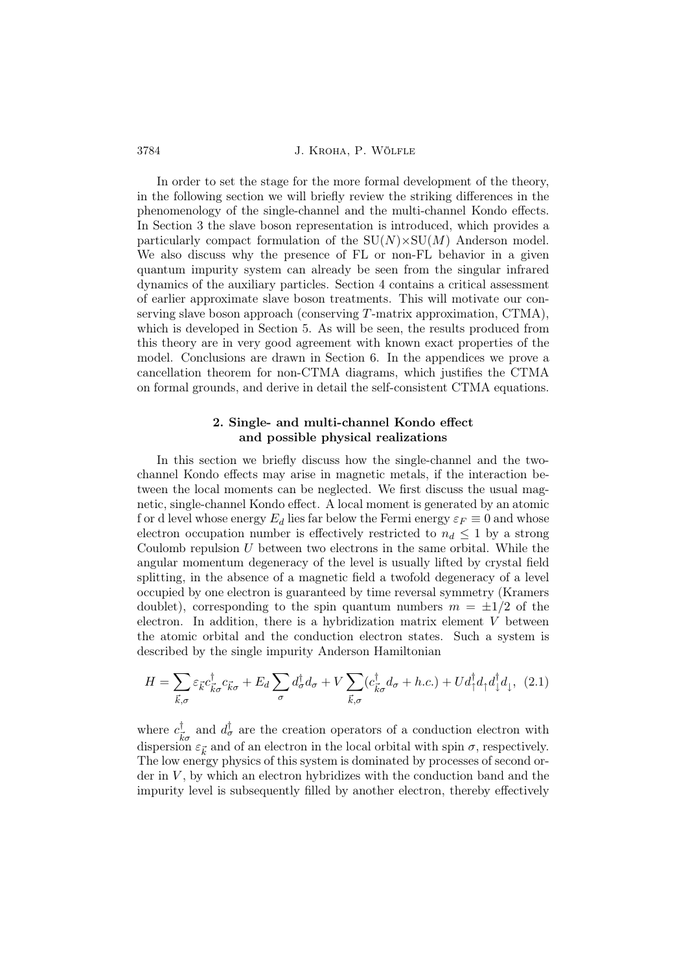In order to set the stage for the more formal development of the theory, in the following section we will briefly review the striking differences in the phenomenology of the single-channel and the multi-channel Kondo effects. In Section 3 the slave boson representation is introduced, which provides a particularly compact formulation of the  $SU(N) \times SU(M)$  Anderson model. We also discuss why the presence of FL or non-FL behavior in a given quantum impurity system can already be seen from the singular infrared dynamics of the auxiliary particles. Section 4 contains a critical assessment of earlier approximate slave boson treatments. This will motivate our conserving slave boson approach (conserving  $T$ -matrix approximation,  $CTMA$ ), which is developed in Section 5. As will be seen, the results produced from this theory are in very good agreement with known exact properties of the model. Conclusions are drawn in Section 6. In the appendices we prove a cancellation theorem for non-CTMA diagrams, which justifies the CTMA on formal grounds, and derive in detail the self-consistent CTMA equations.

# 2. Single- and multi-channel Kondo effect and possible physical realizations

In this section we briefly discuss how the single-channel and the twochannel Kondo effects may arise in magnetic metals, if the interaction between the local moments can be neglected. We first discuss the usual magnetic, single-channel Kondo effect. A local moment is generated by an atomic f or d level whose energy  $E_d$  lies far below the Fermi energy  $\varepsilon_F \equiv 0$  and whose electron occupation number is effectively restricted to  $n_d \leq 1$  by a strong Coulomb repulsion  $U$  between two electrons in the same orbital. While the angular momentum degeneracy of the level is usually lifted by crystal field splitting, in the absence of a magnetic field a twofold degeneracy of a level occupied by one electron is guaranteed by time reversal symmetry (Kramers doublet), corresponding to the spin quantum numbers  $m = \pm 1/2$  of the electron. In addition, there is a hybridization matrix element V between the atomic orbital and the conduction electron states. Such a system is described by the single impurity Anderson Hamiltonian

$$
H = \sum_{\vec{k},\sigma} \varepsilon_{\vec{k}} c_{\vec{k}\sigma}^{\dagger} c_{\vec{k}\sigma} + E_d \sum_{\sigma} d_{\sigma}^{\dagger} d_{\sigma} + V \sum_{\vec{k},\sigma} (c_{\vec{k}\sigma}^{\dagger} d_{\sigma} + h.c.) + U d_{\uparrow}^{\dagger} d_{\uparrow} d_{\downarrow}^{\dagger} d_{\downarrow}, \tag{2.1}
$$

where  $c^{\dagger}_{\bar{\iota}}$  $\frac{d}{k\sigma}$  and  $d_{\sigma}^{\dagger}$  are the creation operators of a conduction electron with dispersion  $\varepsilon_{\vec{k}}$  and of an electron in the local orbital with spin  $\sigma$ , respectively. The low energy physics of this system is dominated by processes of second order in  $V$ , by which an electron hybridizes with the conduction band and the impurity level is subsequently filled by another electron, thereby effectively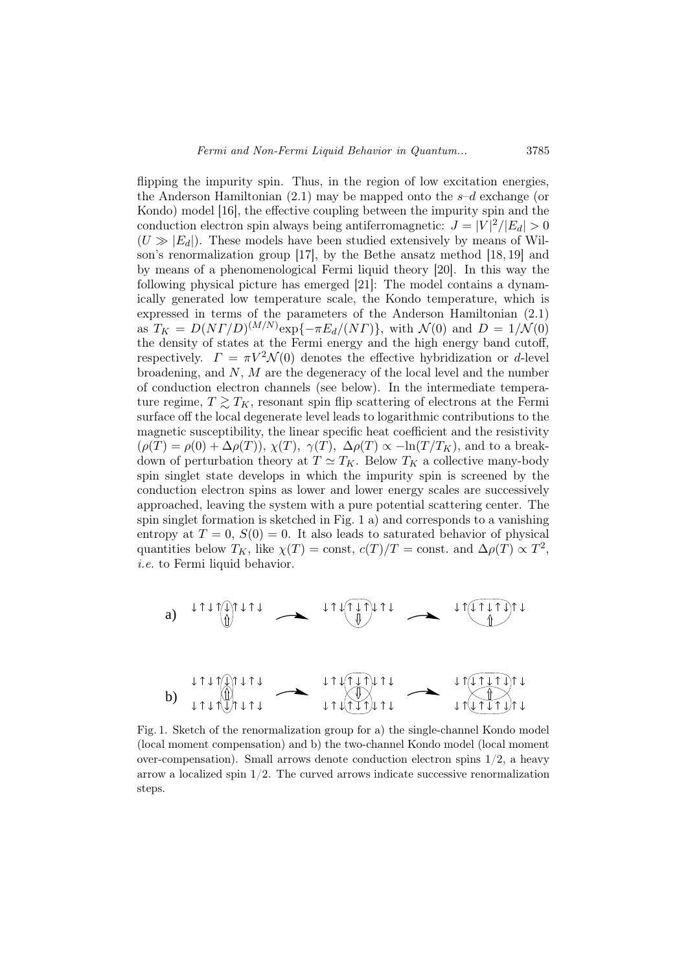flipping the impurity spin. Thus, in the region of low excitation energies, the Anderson Hamiltonian  $(2.1)$  may be mapped onto the  $s-d$  exchange (or Kondo) model [16], the effective coupling between the impurity spin and the conduction electron spin always being antiferromagnetic:  $J = |V|^2/|E_d| > 0$  $(U \gg |E_d|)$ . These models have been studied extensively by means of Wilson's renormalization group [17], by the Bethe ansatz method [18, 19] and by means of a phenomenological Fermi liquid theory [20]. In this way the following physical picture has emerged [21]: The model contains a dynamically generated low temperature scale, the Kondo temperature, which is expressed in terms of the parameters of the Anderson Hamiltonian (2.1) as  $T_K = D(N\Gamma/D)^{(M/N)} \exp\{-\pi E_d/(N\Gamma)\}\,$ , with  $\mathcal{N}(0)$  and  $D = 1/\mathcal{N}(0)$ the density of states at the Fermi energy and the high energy band cutoff, respectively.  $\Gamma = \pi V^2 \mathcal{N}(0)$  denotes the effective hybridization or d-level broadening, and N, M are the degeneracy of the local level and the number of conduction electron channels (see below). In the intermediate temperature regime,  $T \gtrsim T_K$ , resonant spin flip scattering of electrons at the Fermi surface off the local degenerate level leads to logarithmic contributions to the magnetic susceptibility, the linear specific heat coefficient and the resistivity  $(\rho(T) = \rho(0) + \Delta \rho(T))$ ,  $\chi(T)$ ,  $\gamma(T)$ ,  $\Delta \rho(T) \propto -\ln(T/T_K)$ , and to a breakdown of perturbation theory at  $T \simeq T_K$ . Below  $T_K$  a collective many-body spin singlet state develops in which the impurity spin is screened by the conduction electron spins as lower and lower energy scales are successively approached, leaving the system with a pure potential scattering center. The spin singlet formation is sketched in Fig. 1 a) and corresponds to a vanishing entropy at  $T = 0$ ,  $S(0) = 0$ . It also leads to saturated behavior of physical quantities below  $T_K$ , like  $\chi(T) = \text{const.}$   $c(T)/T = \text{const.}$  and  $\Delta \rho(T) \propto T^2$ , i.e. to Fermi liquid behavior.



Fig. 1. Sketch of the renormalization group for a) the single-channel Kondo model (local moment compensation) and b) the two-channel Kondo model (local moment over-compensation). Small arrows denote conduction electron spins 1/2, a heavy arrow a localized spin  $1/2$ . The curved arrows indicate successive renormalization steps.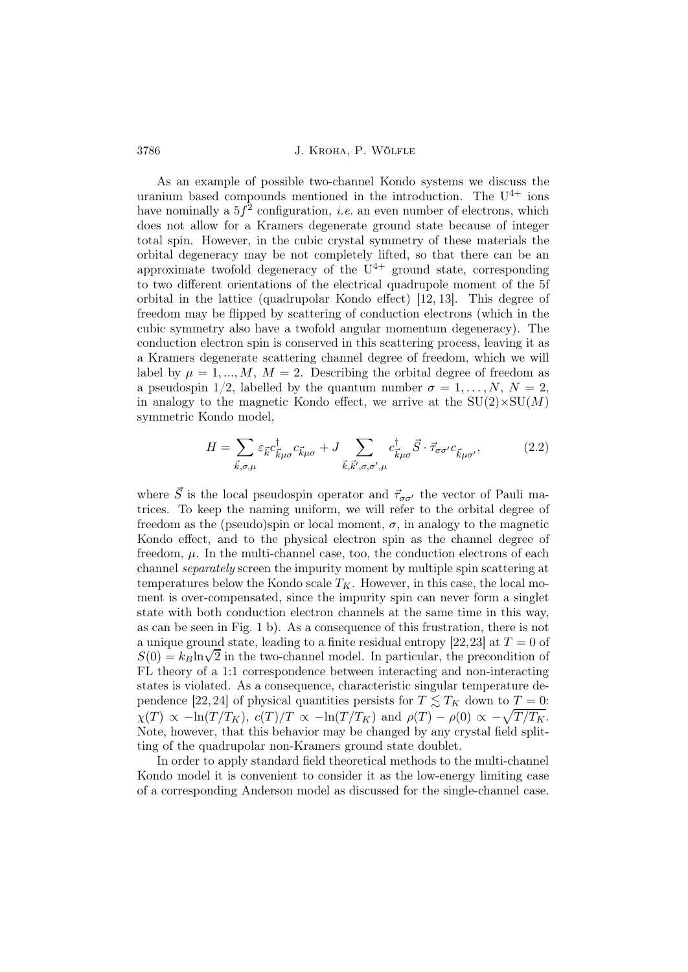As an example of possible two-channel Kondo systems we discuss the uranium based compounds mentioned in the introduction. The  $U^{4+}$  ions have nominally a  $5f^2$  configuration, *i.e.* an even number of electrons, which does not allow for a Kramers degenerate ground state because of integer total spin. However, in the cubic crystal symmetry of these materials the orbital degeneracy may be not completely lifted, so that there can be an approximate twofold degeneracy of the  $U^{4+}$  ground state, corresponding to two different orientations of the electrical quadrupole moment of the 5f orbital in the lattice (quadrupolar Kondo effect) [12, 13]. This degree of freedom may be flipped by scattering of conduction electrons (which in the cubic symmetry also have a twofold angular momentum degeneracy). The conduction electron spin is conserved in this scattering process, leaving it as a Kramers degenerate scattering channel degree of freedom, which we will label by  $\mu = 1, ..., M$ ,  $M = 2$ . Describing the orbital degree of freedom as a pseudospin  $1/2$ , labelled by the quantum number  $\sigma = 1, \ldots, N, N = 2$ . in analogy to the magnetic Kondo effect, we arrive at the  $SU(2) \times SU(M)$ symmetric Kondo model,

$$
H = \sum_{\vec{k},\sigma,\mu} \varepsilon_{\vec{k}} c_{\vec{k}\mu\sigma}^{\dagger} c_{\vec{k}\mu\sigma} + J \sum_{\vec{k},\vec{k}',\sigma,\sigma',\mu} c_{\vec{k}\mu\sigma}^{\dagger} \vec{S} \cdot \vec{\tau}_{\sigma\sigma'} c_{\vec{k}\mu\sigma'},
$$
(2.2)

where  $\vec{S}$  is the local pseudospin operator and  $\vec{\tau}_{\sigma\sigma'}$  the vector of Pauli matrices. To keep the naming uniform, we will refer to the orbital degree of freedom as the (pseudo)spin or local moment,  $\sigma$ , in analogy to the magnetic Kondo effect, and to the physical electron spin as the channel degree of freedom,  $\mu$ . In the multi-channel case, too, the conduction electrons of each channel separately screen the impurity moment by multiple spin scattering at temperatures below the Kondo scale  $T_K$ . However, in this case, the local moment is over-compensated, since the impurity spin can never form a singlet state with both conduction electron channels at the same time in this way, as can be seen in Fig. 1 b). As a consequence of this frustration, there is not a unique ground state, leading to a finite residual entropy [22,23] at  $T = 0$  of  $S(0) = k_B \ln \sqrt{2}$  in the two-channel model. In particular, the precondition of FL theory of a 1:1 correspondence between interacting and non-interacting states is violated. As a consequence, characteristic singular temperature dependence [22, 24] of physical quantities persists for  $T \le T_K$  down to  $T = 0$ :  $\chi(T) \propto -\ln(T/T_K)$ ,  $c(T)/T \propto -\ln(T/T_K)$  and  $\rho(T) - \rho(0) \propto -\sqrt{T/T_K}$ . Note, however, that this behavior may be changed by any crystal field splitting of the quadrupolar non-Kramers ground state doublet.

In order to apply standard field theoretical methods to the multi-channel Kondo model it is convenient to consider it as the low-energy limiting case of a corresponding Anderson model as discussed for the single-channel case.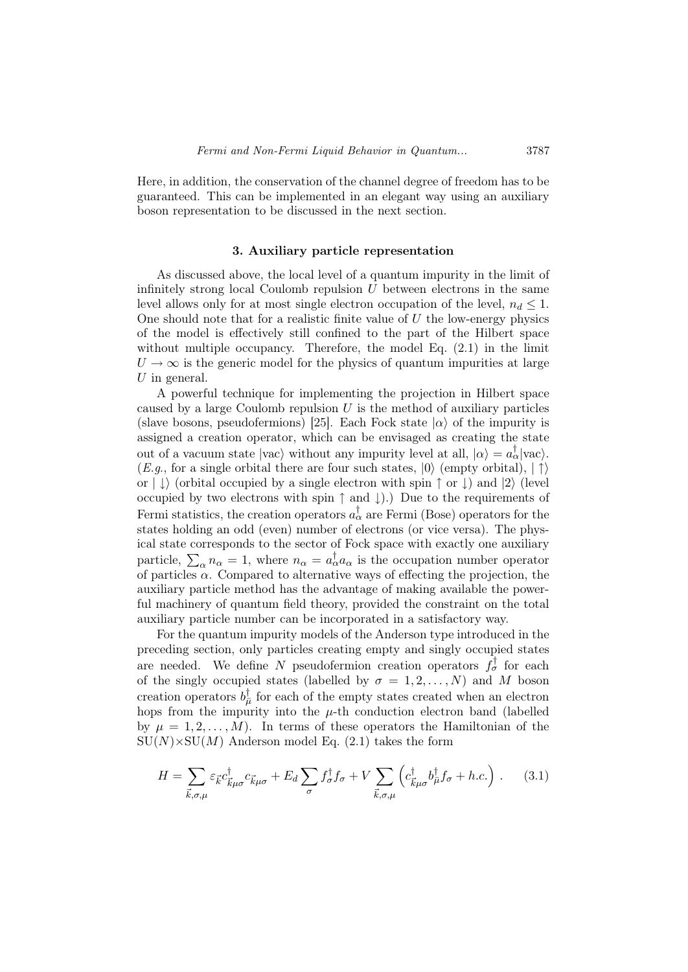Here, in addition, the conservation of the channel degree of freedom has to be guaranteed. This can be implemented in an elegant way using an auxiliary boson representation to be discussed in the next section.

### 3. Auxiliary particle representation

As discussed above, the local level of a quantum impurity in the limit of infinitely strong local Coulomb repulsion  $U$  between electrons in the same level allows only for at most single electron occupation of the level,  $n_d \leq 1$ . One should note that for a realistic finite value of  $U$  the low-energy physics of the model is effectively still confined to the part of the Hilbert space without multiple occupancy. Therefore, the model Eq.  $(2.1)$  in the limit  $U \rightarrow \infty$  is the generic model for the physics of quantum impurities at large  $U$  in general.

A powerful technique for implementing the projection in Hilbert space caused by a large Coulomb repulsion  $U$  is the method of auxiliary particles (slave bosons, pseudofermions) [25]. Each Fock state  $|\alpha\rangle$  of the impurity is assigned a creation operator, which can be envisaged as creating the state out of a vacuum state  $|{\text{vac}}\rangle$  without any impurity level at all,  $|\alpha\rangle = a_{\alpha}^{\dagger} |{\text{vac}}\rangle$ .  $(E.g., for a single orbital there are four such states,  $|0\rangle$  (empty orbital),  $| \uparrow \rangle$$ or  $|\downarrow\rangle$  (orbital occupied by a single electron with spin  $\uparrow$  or  $\downarrow$ ) and  $|2\rangle$  (level occupied by two electrons with spin ↑ and ↓).) Due to the requirements of Fermi statistics, the creation operators  $a_{\alpha}^{\dagger}$  are Fermi (Bose) operators for the states holding an odd (even) number of electrons (or vice versa). The physical state corresponds to the sector of Fock space with exactly one auxiliary particle,  $\sum_{\alpha} n_{\alpha} = 1$ , where  $n_{\alpha} = a_{\alpha}^{\dagger} a_{\alpha}$  is the occupation number operator of particles  $\alpha$ . Compared to alternative ways of effecting the projection, the auxiliary particle method has the advantage of making available the powerful machinery of quantum field theory, provided the constraint on the total auxiliary particle number can be incorporated in a satisfactory way.

For the quantum impurity models of the Anderson type introduced in the preceding section, only particles creating empty and singly occupied states are needed. We define N pseudofermion creation operators  $f_{\sigma}^{\dagger}$  for each of the singly occupied states (labelled by  $\sigma = 1, 2, ..., N$ ) and M boson creation operators  $b_{\overline{\mu}}^{\dagger}$  $\frac{1}{\mu}$  for each of the empty states created when an electron hops from the impurity into the  $\mu$ -th conduction electron band (labelled by  $\mu = 1, 2, \ldots, M$ . In terms of these operators the Hamiltonian of the  $SU(N) \times SU(M)$  Anderson model Eq. (2.1) takes the form

$$
H = \sum_{\vec{k},\sigma,\mu} \varepsilon_{\vec{k}} c_{\vec{k}\mu\sigma}^{\dagger} c_{\vec{k}\mu\sigma} + E_d \sum_{\sigma} f_{\sigma}^{\dagger} f_{\sigma} + V \sum_{\vec{k},\sigma,\mu} \left( c_{\vec{k}\mu\sigma}^{\dagger} b_{\mu}^{\dagger} f_{\sigma} + h.c. \right) . \tag{3.1}
$$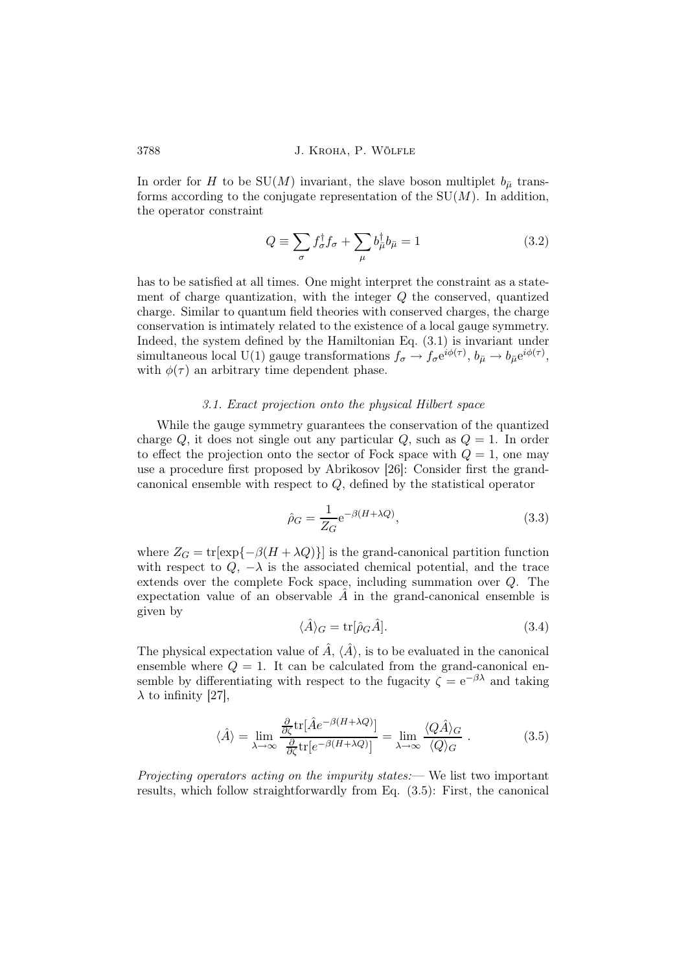In order for H to be SU(M) invariant, the slave boson multiplet  $b_{\bar{\mu}}$  transforms according to the conjugate representation of the  $SU(M)$ . In addition, the operator constraint

$$
Q \equiv \sum_{\sigma} f_{\sigma}^{\dagger} f_{\sigma} + \sum_{\mu} b_{\mu}^{\dagger} b_{\mu} = 1 \tag{3.2}
$$

has to be satisfied at all times. One might interpret the constraint as a statement of charge quantization, with the integer Q the conserved, quantized charge. Similar to quantum field theories with conserved charges, the charge conservation is intimately related to the existence of a local gauge symmetry. Indeed, the system defined by the Hamiltonian Eq. (3.1) is invariant under simultaneous local U(1) gauge transformations  $f_{\sigma} \to f_{\sigma} e^{i\phi(\tau)}$ ,  $b_{\bar{\mu}} \to b_{\bar{\mu}} e^{i\phi(\tau)}$ , with  $\phi(\tau)$  an arbitrary time dependent phase.

#### 3.1. Exact projection onto the physical Hilbert space

While the gauge symmetry guarantees the conservation of the quantized charge Q, it does not single out any particular  $Q$ , such as  $Q = 1$ . In order to effect the projection onto the sector of Fock space with  $Q = 1$ , one may use a procedure first proposed by Abrikosov [26]: Consider first the grandcanonical ensemble with respect to Q, defined by the statistical operator

$$
\hat{\rho}_G = \frac{1}{Z_G} e^{-\beta (H + \lambda Q)},\tag{3.3}
$$

where  $Z_G = \text{tr}[\exp{-\beta (H + \lambda Q)}]$  is the grand-canonical partition function with respect to  $Q_1$ ,  $-\lambda$  is the associated chemical potential, and the trace extends over the complete Fock space, including summation over Q. The expectation value of an observable  $A$  in the grand-canonical ensemble is given by

$$
\langle \hat{A} \rangle_G = \text{tr}[\hat{\rho}_G \hat{A}]. \tag{3.4}
$$

The physical expectation value of  $\hat{A}$ ,  $\langle \hat{A} \rangle$ , is to be evaluated in the canonical ensemble where  $Q = 1$ . It can be calculated from the grand-canonical ensemble by differentiating with respect to the fugacity  $\zeta = e^{-\beta \lambda}$  and taking  $\lambda$  to infinity [27],

$$
\langle \hat{A} \rangle = \lim_{\lambda \to \infty} \frac{\frac{\partial}{\partial \zeta} \text{tr}[\hat{A}e^{-\beta(H + \lambda Q)}]}{\frac{\partial}{\partial \zeta} \text{tr}[e^{-\beta(H + \lambda Q)}]} = \lim_{\lambda \to \infty} \frac{\langle Q\hat{A} \rangle_G}{\langle Q \rangle_G} . \tag{3.5}
$$

Projecting operators acting on the impurity states:— We list two important results, which follow straightforwardly from Eq. (3.5): First, the canonical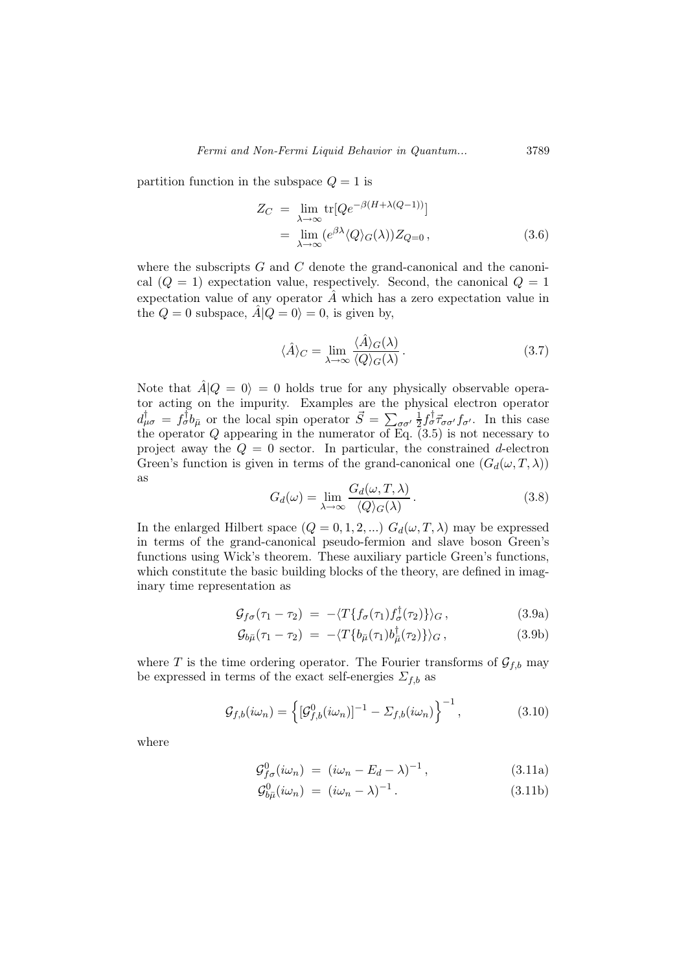partition function in the subspace  $Q = 1$  is

$$
Z_C = \lim_{\lambda \to \infty} \text{tr}[Qe^{-\beta(H + \lambda(Q-1))}]
$$
  
= 
$$
\lim_{\lambda \to \infty} (e^{\beta \lambda} \langle Q \rangle_G(\lambda)) Z_{Q=0},
$$
 (3.6)

where the subscripts  $G$  and  $C$  denote the grand-canonical and the canonical  $(Q = 1)$  expectation value, respectively. Second, the canonical  $Q = 1$ expectation value of any operator  $\tilde{A}$  which has a zero expectation value in the  $Q = 0$  subspace,  $\hat{A} | Q = 0 \rangle = 0$ , is given by,

$$
\langle \hat{A} \rangle_C = \lim_{\lambda \to \infty} \frac{\langle \hat{A} \rangle_G(\lambda)}{\langle Q \rangle_G(\lambda)}.
$$
\n(3.7)

Note that  $\hat{A}|Q = 0\rangle = 0$  holds true for any physically observable operator acting on the impurity. Examples are the physical electron operator  $d^{\dagger}_{\mu\sigma} = f^{\dagger}_{\sigma} b_{\bar{\mu}}$  or the local spin operator  $\vec{S} = \sum_{\sigma\sigma'} \frac{1}{2}$  $\frac{1}{2} f_{\sigma}^{\dagger} \vec{\tau}_{\sigma \sigma'} f_{\sigma'}$ . In this case the operator  $Q$  appearing in the numerator of Eq.  $(3.5)$  is not necessary to project away the  $Q = 0$  sector. In particular, the constrained d-electron Green's function is given in terms of the grand-canonical one  $(G_d(\omega, T, \lambda))$ as

$$
G_d(\omega) = \lim_{\lambda \to \infty} \frac{G_d(\omega, T, \lambda)}{\langle Q \rangle_G(\lambda)}.
$$
\n(3.8)

In the enlarged Hilbert space  $(Q = 0, 1, 2, ...) G_d(\omega, T, \lambda)$  may be expressed in terms of the grand-canonical pseudo-fermion and slave boson Green's functions using Wick's theorem. These auxiliary particle Green's functions, which constitute the basic building blocks of the theory, are defined in imaginary time representation as

$$
\mathcal{G}_{f\sigma}(\tau_1 - \tau_2) = -\langle T\{f_{\sigma}(\tau_1)f_{\sigma}^{\dagger}(\tau_2)\}\rangle_G, \qquad (3.9a)
$$

$$
\mathcal{G}_{b\bar{\mu}}(\tau_1 - \tau_2) = -\langle T\{b_{\bar{\mu}}(\tau_1)b_{\bar{\mu}}^{\dagger}(\tau_2)\}\rangle_G, \qquad (3.9b)
$$

where T is the time ordering operator. The Fourier transforms of  $\mathcal{G}_{f,b}$  may be expressed in terms of the exact self-energies  $\Sigma_{f,b}$  as

$$
\mathcal{G}_{f,b}(i\omega_n) = \left\{ \left[ \mathcal{G}_{f,b}^0(i\omega_n) \right]^{-1} - \Sigma_{f,b}(i\omega_n) \right\}^{-1},\tag{3.10}
$$

where

$$
\mathcal{G}_{f\sigma}^{0}(i\omega_{n}) = (i\omega_{n} - E_{d} - \lambda)^{-1}, \qquad (3.11a)
$$

$$
\mathcal{G}_{b\bar{\mu}}^0(i\omega_n) = (i\omega_n - \lambda)^{-1}.
$$
\n(3.11b)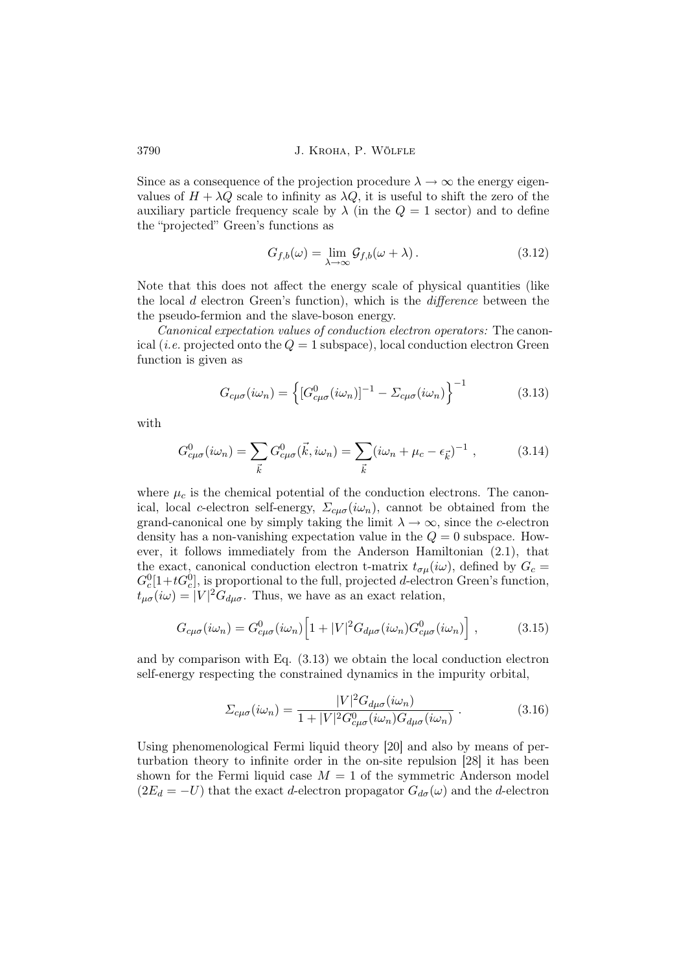Since as a consequence of the projection procedure  $\lambda \to \infty$  the energy eigenvalues of  $H + \lambda Q$  scale to infinity as  $\lambda Q$ , it is useful to shift the zero of the auxiliary particle frequency scale by  $\lambda$  (in the  $Q = 1$  sector) and to define the "projected" Green's functions as

$$
G_{f,b}(\omega) = \lim_{\lambda \to \infty} \mathcal{G}_{f,b}(\omega + \lambda).
$$
 (3.12)

Note that this does not affect the energy scale of physical quantities (like the local d electron Green's function), which is the difference between the the pseudo-fermion and the slave-boson energy.

Canonical expectation values of conduction electron operators: The canonical (*i.e.* projected onto the  $Q = 1$  subspace), local conduction electron Green function is given as

$$
G_{c\mu\sigma}(i\omega_n) = \left\{ [G^0_{c\mu\sigma}(i\omega_n)]^{-1} - \Sigma_{c\mu\sigma}(i\omega_n) \right\}^{-1}
$$
(3.13)

with

$$
G_{c\mu\sigma}^{0}(i\omega_n) = \sum_{\vec{k}} G_{c\mu\sigma}^{0}(\vec{k}, i\omega_n) = \sum_{\vec{k}} (i\omega_n + \mu_c - \epsilon_{\vec{k}})^{-1} , \qquad (3.14)
$$

where  $\mu_c$  is the chemical potential of the conduction electrons. The canonical, local c-electron self-energy,  $\Sigma_{cu\sigma}(i\omega_n)$ , cannot be obtained from the grand-canonical one by simply taking the limit  $\lambda \to \infty$ , since the c-electron density has a non-vanishing expectation value in the  $Q = 0$  subspace. However, it follows immediately from the Anderson Hamiltonian (2.1), that the exact, canonical conduction electron t-matrix  $t_{\sigma\mu}(i\omega)$ , defined by  $G_c =$  $G_c^0[1+tG_c^0]$ , is proportional to the full, projected d-electron Green's function,  $t_{\mu\sigma}(i\omega) = |V|^2 G_{d\mu\sigma}$ . Thus, we have as an exact relation,

$$
G_{c\mu\sigma}(i\omega_n) = G^0_{c\mu\sigma}(i\omega_n) \left[ 1 + |V|^2 G_{d\mu\sigma}(i\omega_n) G^0_{c\mu\sigma}(i\omega_n) \right] ,\qquad (3.15)
$$

and by comparison with Eq. (3.13) we obtain the local conduction electron self-energy respecting the constrained dynamics in the impurity orbital,

$$
\Sigma_{c\mu\sigma}(i\omega_n) = \frac{|V|^2 G_{d\mu\sigma}(i\omega_n)}{1 + |V|^2 G_{c\mu\sigma}^0(i\omega_n) G_{d\mu\sigma}(i\omega_n)}.
$$
\n(3.16)

Using phenomenological Fermi liquid theory [20] and also by means of perturbation theory to infinite order in the on-site repulsion [28] it has been shown for the Fermi liquid case  $M = 1$  of the symmetric Anderson model  $(2E_d = -U)$  that the exact d-electron propagator  $G_{d\sigma}(\omega)$  and the d-electron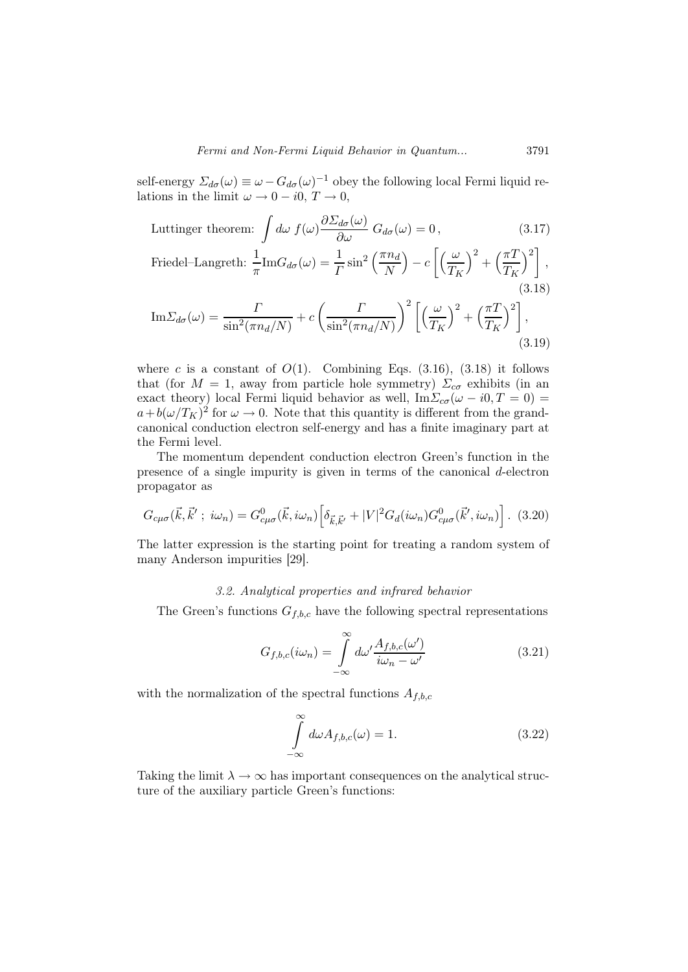self-energy  $\Sigma_{d\sigma}(\omega) \equiv \omega - G_{d\sigma}(\omega)^{-1}$  obey the following local Fermi liquid relations in the limit  $\omega \to 0 - i0$ ,  $T \to 0$ ,

Luttinger theorem: 
$$
\int d\omega \ f(\omega) \frac{\partial \Sigma_{d\sigma}(\omega)}{\partial \omega} G_{d\sigma}(\omega) = 0, \qquad (3.17)
$$

$$
\text{Friedel-Langreth: } \frac{1}{\pi} \text{Im} G_{d\sigma}(\omega) = \frac{1}{\Gamma} \sin^2 \left(\frac{\pi n_d}{N}\right) - c \left[ \left(\frac{\omega}{T_K}\right)^2 + \left(\frac{\pi T}{T_K}\right)^2 \right],\tag{3.18}
$$

$$
\mathrm{Im}\Sigma_{d\sigma}(\omega) = \frac{\Gamma}{\sin^2(\pi n_d/N)} + c \left(\frac{\Gamma}{\sin^2(\pi n_d/N)}\right)^2 \left[ \left(\frac{\omega}{T_K}\right)^2 + \left(\frac{\pi T}{T_K}\right)^2 \right],\tag{3.19}
$$

where c is a constant of  $O(1)$ . Combining Eqs. (3.16), (3.18) it follows that (for  $M = 1$ , away from particle hole symmetry)  $\Sigma_{c\sigma}$  exhibits (in an exact theory) local Fermi liquid behavior as well,  $\text{Im}\Sigma_{c\sigma}(\omega - i0, T = 0)$  $a+b(\omega/T_K)^2$  for  $\omega\to 0$ . Note that this quantity is different from the grandcanonical conduction electron self-energy and has a finite imaginary part at the Fermi level.

The momentum dependent conduction electron Green's function in the presence of a single impurity is given in terms of the canonical d-electron propagator as

$$
G_{c\mu\sigma}(\vec{k},\vec{k}';\;i\omega_n) = G_{c\mu\sigma}^0(\vec{k},i\omega_n) \left[ \delta_{\vec{k},\vec{k}'} + |V|^2 G_d(i\omega_n) G_{c\mu\sigma}^0(\vec{k}',i\omega_n) \right]. \tag{3.20}
$$

The latter expression is the starting point for treating a random system of many Anderson impurities [29].

### 3.2. Analytical properties and infrared behavior

The Green's functions  $G_{f,b,c}$  have the following spectral representations

$$
G_{f,b,c}(i\omega_n) = \int_{-\infty}^{\infty} d\omega' \frac{A_{f,b,c}(\omega')}{i\omega_n - \omega'}
$$
(3.21)

with the normalization of the spectral functions  $A_{f,b,c}$ 

$$
\int_{-\infty}^{\infty} d\omega A_{f,b,c}(\omega) = 1.
$$
\n(3.22)

Taking the limit  $\lambda \to \infty$  has important consequences on the analytical structure of the auxiliary particle Green's functions: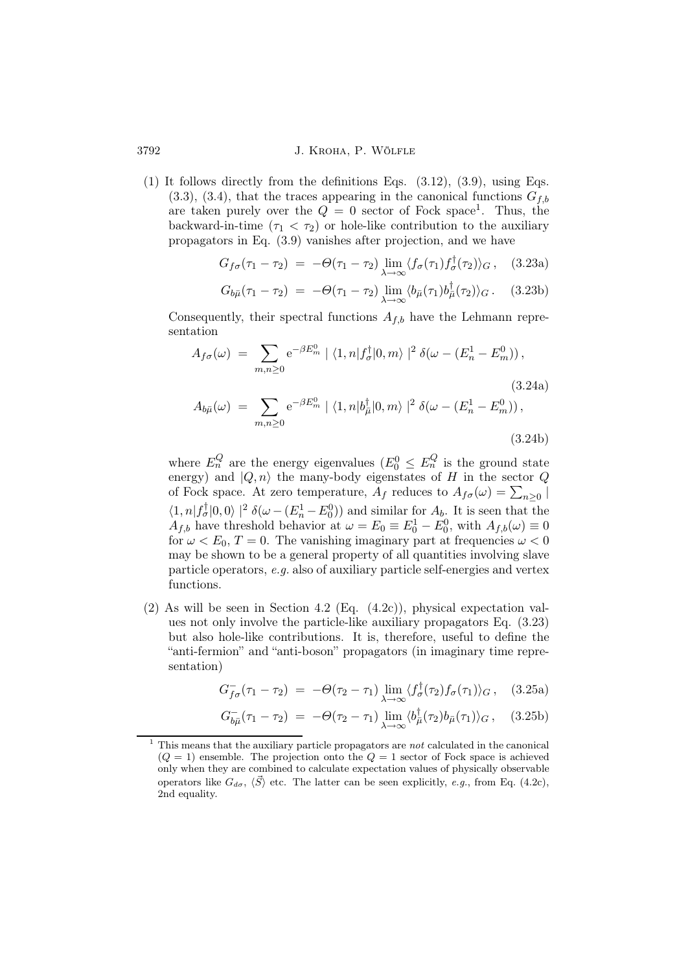(1) It follows directly from the definitions Eqs. (3.12), (3.9), using Eqs.  $(3.3)$ ,  $(3.4)$ , that the traces appearing in the canonical functions  $G_{fb}$ are taken purely over the  $Q = 0$  sector of Fock space<sup>1</sup>. Thus, the backward-in-time  $(\tau_1 < \tau_2)$  or hole-like contribution to the auxiliary propagators in Eq. (3.9) vanishes after projection, and we have

$$
G_{f\sigma}(\tau_1 - \tau_2) = -\Theta(\tau_1 - \tau_2) \lim_{\lambda \to \infty} \langle f_{\sigma}(\tau_1) f_{\sigma}^{\dagger}(\tau_2) \rangle_G, \quad (3.23a)
$$

$$
G_{b\bar{\mu}}(\tau_1 - \tau_2) = -\Theta(\tau_1 - \tau_2) \lim_{\lambda \to \infty} \langle b_{\bar{\mu}}(\tau_1) b_{\bar{\mu}}^{\dagger}(\tau_2) \rangle_G. \quad (3.23b)
$$

Consequently, their spectral functions  $A_{f,b}$  have the Lehmann representation

$$
A_{f\sigma}(\omega) = \sum_{m,n\geq 0} e^{-\beta E_m^0} | \langle 1, n | f_{\sigma}^{\dagger} | 0, m \rangle |^2 \delta(\omega - (E_n^1 - E_m^0)),
$$
\n
$$
A_{b\bar{\mu}}(\omega) = \sum e^{-\beta E_m^0} | \langle 1, n | b_{\bar{\mu}}^{\dagger} | 0, m \rangle |^2 \delta(\omega - (E_n^1 - E_m^0)),
$$
\n(3.24a)

$$
A_{b\bar{\mu}}(\omega) = \sum_{m,n \ge 0} e^{-\omega m} |\langle 1, n | o_{\bar{\mu}} | 0, m \rangle| o(\omega - (E_n - E_m)),
$$
\n(3.24b)

where  $E_n^Q$  are the energy eigenvalues  $(E_0^0 \leq E_n^Q)$  is the ground state energy) and  $|Q, n\rangle$  the many-body eigenstates of H in the sector Q of Fock space. At zero temperature,  $A_f$  reduces to  $A_{f\sigma}(\omega) = \sum_{n\geq 0} |$  $\langle 1, n | f_{\sigma}^{\dagger} | 0, 0 \rangle |^2 \delta(\omega - (E_n^1 - E_0^0))$  and similar for  $A_b$ . It is seen that the  $A_{f,b}$  have threshold behavior at  $\omega = E_0 \equiv E_0^1 - E_0^0$ , with  $A_{f,b}(\omega) \equiv 0$ for  $\omega < E_0$ ,  $T = 0$ . The vanishing imaginary part at frequencies  $\omega < 0$ may be shown to be a general property of all quantities involving slave particle operators, e.g. also of auxiliary particle self-energies and vertex functions.

(2) As will be seen in Section 4.2 (Eq.  $(4.2c)$ ), physical expectation values not only involve the particle-like auxiliary propagators Eq. (3.23) but also hole-like contributions. It is, therefore, useful to define the "anti-fermion" and "anti-boson" propagators (in imaginary time representation)

$$
G_{f\sigma}^-(\tau_1 - \tau_2) = -\Theta(\tau_2 - \tau_1) \lim_{\lambda \to \infty} \langle f_{\sigma}^{\dagger}(\tau_2) f_{\sigma}(\tau_1) \rangle_G, \quad (3.25a)
$$

$$
G_{b\bar{\mu}}^{-}(\tau_1 - \tau_2) = -\Theta(\tau_2 - \tau_1) \lim_{\lambda \to \infty} \langle b_{\bar{\mu}}^{\dagger}(\tau_2) b_{\bar{\mu}}(\tau_1) \rangle_G, \quad (3.25b)
$$

<sup>1</sup> This means that the auxiliary particle propagators are not calculated in the canonical  $(Q = 1)$  ensemble. The projection onto the  $Q = 1$  sector of Fock space is achieved only when they are combined to calculate expectation values of physically observable operators like  $G_{d\sigma}$ ,  $\langle \vec{S} \rangle$  etc. The latter can be seen explicitly, e.g., from Eq. (4.2c), 2nd equality.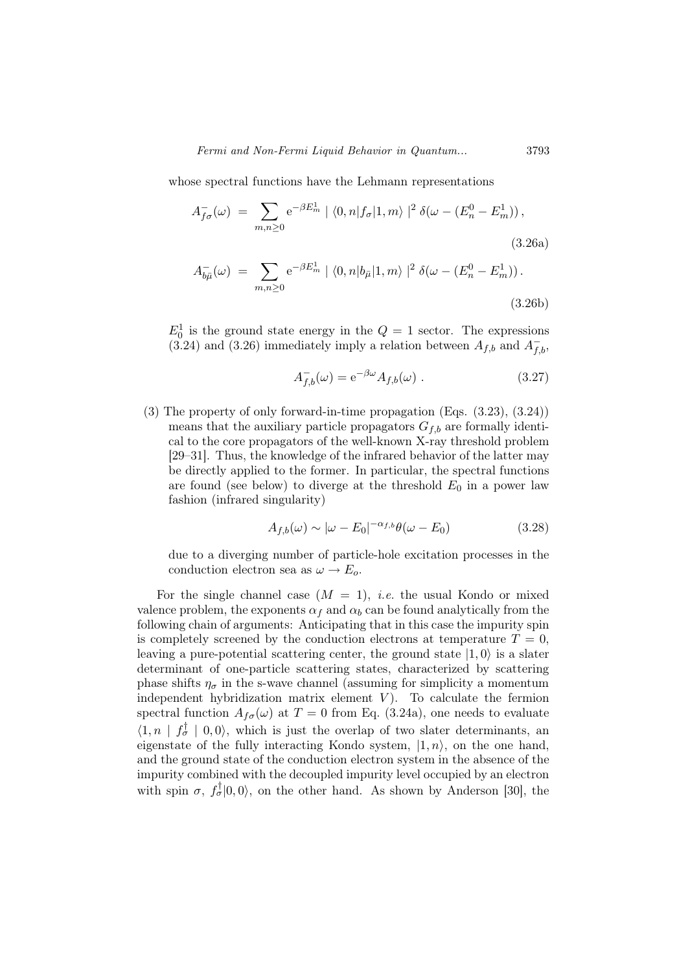Fermi and Non-Fermi Liquid Behavior in Quantum... 3793

whose spectral functions have the Lehmann representations

$$
A_{f\sigma}^-(\omega) = \sum_{m,n\geq 0} e^{-\beta E_m^1} | \langle 0,n | f_\sigma | 1,m \rangle |^2 \delta(\omega - (E_n^0 - E_m^1)),
$$
\n(3.26a)

$$
A_{b\bar{\mu}}^{-}(\omega) = \sum_{m,n \ge 0} e^{-\beta E_m^1} | \langle 0, n | b_{\bar{\mu}} | 1, m \rangle |^2 \delta(\omega - (E_n^0 - E_m^1)).
$$
\n(3.26b)

 $E_0^1$  is the ground state energy in the  $Q = 1$  sector. The expressions (3.24) and (3.26) immediately imply a relation between  $A_{f,b}$  and  $A_{f,b}^-$ ,

$$
A_{f,b}^{-}(\omega) = e^{-\beta \omega} A_{f,b}(\omega) . \qquad (3.27)
$$

(3) The property of only forward-in-time propagation (Eqs. (3.23), (3.24)) means that the auxiliary particle propagators  $G_{f,b}$  are formally identical to the core propagators of the well-known X-ray threshold problem [29–31]. Thus, the knowledge of the infrared behavior of the latter may be directly applied to the former. In particular, the spectral functions are found (see below) to diverge at the threshold  $E_0$  in a power law fashion (infrared singularity)

$$
A_{f,b}(\omega) \sim |\omega - E_0|^{-\alpha_{f,b}} \theta(\omega - E_0)
$$
\n(3.28)

due to a diverging number of particle-hole excitation processes in the conduction electron sea as  $\omega \to E_o$ .

For the single channel case  $(M = 1)$ , *i.e.* the usual Kondo or mixed valence problem, the exponents  $\alpha_f$  and  $\alpha_b$  can be found analytically from the following chain of arguments: Anticipating that in this case the impurity spin is completely screened by the conduction electrons at temperature  $T = 0$ , leaving a pure-potential scattering center, the ground state  $|1, 0\rangle$  is a slater determinant of one-particle scattering states, characterized by scattering phase shifts  $\eta_{\sigma}$  in the s-wave channel (assuming for simplicity a momentum independent hybridization matrix element  $V$ ). To calculate the fermion spectral function  $A_{f\sigma}(\omega)$  at  $T=0$  from Eq. (3.24a), one needs to evaluate  $\langle 1, n | f_{\sigma}^{\dagger} | 0, 0 \rangle$ , which is just the overlap of two slater determinants, an eigenstate of the fully interacting Kondo system,  $|1, n\rangle$ , on the one hand, and the ground state of the conduction electron system in the absence of the impurity combined with the decoupled impurity level occupied by an electron with spin  $\sigma$ ,  $f_{\sigma}^{\dagger}|0,0\rangle$ , on the other hand. As shown by Anderson [30], the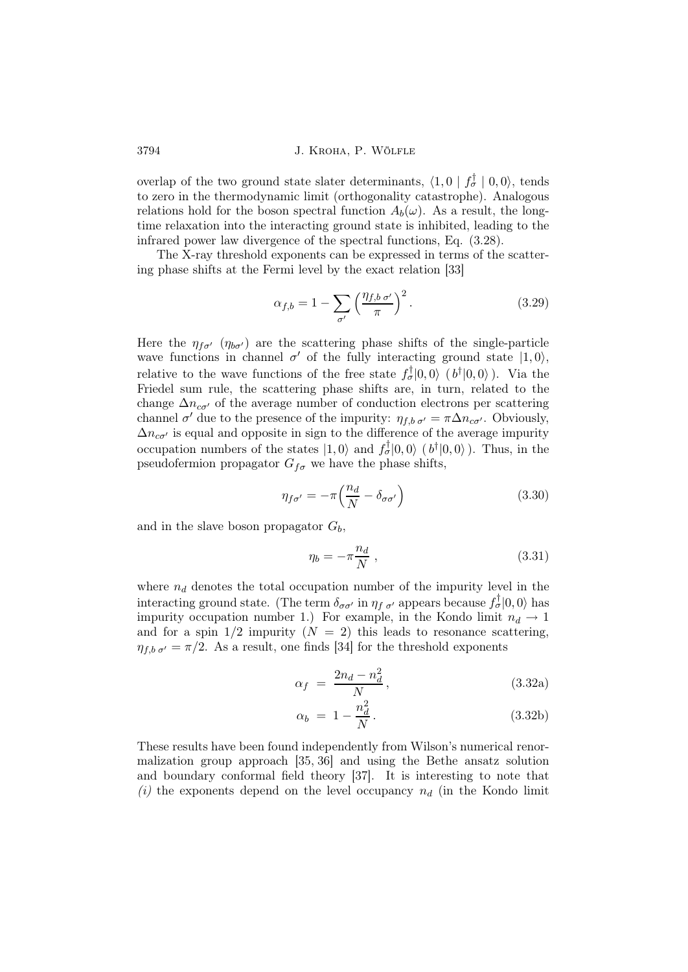overlap of the two ground state slater determinants,  $\langle 1, 0 | f_{\sigma}^{\dagger} | 0, 0 \rangle$ , tends to zero in the thermodynamic limit (orthogonality catastrophe). Analogous relations hold for the boson spectral function  $A_b(\omega)$ . As a result, the longtime relaxation into the interacting ground state is inhibited, leading to the infrared power law divergence of the spectral functions, Eq. (3.28).

The X-ray threshold exponents can be expressed in terms of the scattering phase shifts at the Fermi level by the exact relation [33]

$$
\alpha_{f,b} = 1 - \sum_{\sigma'} \left( \frac{\eta_{f,b \sigma'}}{\pi} \right)^2.
$$
 (3.29)

Here the  $\eta_{f\sigma'}$  ( $\eta_{b\sigma'}$ ) are the scattering phase shifts of the single-particle wave functions in channel  $\sigma'$  of the fully interacting ground state  $|1, 0\rangle$ , relative to the wave functions of the free state  $f_{\sigma}^{\dagger}|0,0\rangle$  ( $b^{\dagger}|0,0\rangle$ ). Via the Friedel sum rule, the scattering phase shifts are, in turn, related to the change  $\Delta n_{c\sigma'}$  of the average number of conduction electrons per scattering channel  $\sigma'$  due to the presence of the impurity:  $\eta_{f,b,\sigma'} = \pi \Delta n_{c\sigma'}$ . Obviously,  $\Delta n_{c\sigma'}$  is equal and opposite in sign to the difference of the average impurity occupation numbers of the states  $|1,0\rangle$  and  $f_{\sigma}^{\dagger}|0,0\rangle$  ( $b^{\dagger}|0,0\rangle$ ). Thus, in the pseudofermion propagator  $G_{f\sigma}$  we have the phase shifts,

$$
\eta_{f\sigma'} = -\pi \left(\frac{n_d}{N} - \delta_{\sigma\sigma'}\right) \tag{3.30}
$$

and in the slave boson propagator  $G_b$ ,

$$
\eta_b = -\pi \frac{n_d}{N} \,,\tag{3.31}
$$

where  $n_d$  denotes the total occupation number of the impurity level in the interacting ground state. (The term  $\delta_{\sigma\sigma'}$  in  $\eta_{f\sigma'}$  appears because  $f_{\sigma}^{\dagger}|0,0\rangle$  has impurity occupation number 1.) For example, in the Kondo limit  $n_d \rightarrow 1$ and for a spin  $1/2$  impurity  $(N = 2)$  this leads to resonance scattering,  $\eta_{f,b,\sigma'} = \pi/2$ . As a result, one finds [34] for the threshold exponents

$$
\alpha_f = \frac{2n_d - n_d^2}{N},\tag{3.32a}
$$

$$
\alpha_b = 1 - \frac{n_d^2}{N}.
$$
 (3.32b)

These results have been found independently from Wilson's numerical renormalization group approach [35, 36] and using the Bethe ansatz solution and boundary conformal field theory [37]. It is interesting to note that (i) the exponents depend on the level occupancy  $n_d$  (in the Kondo limit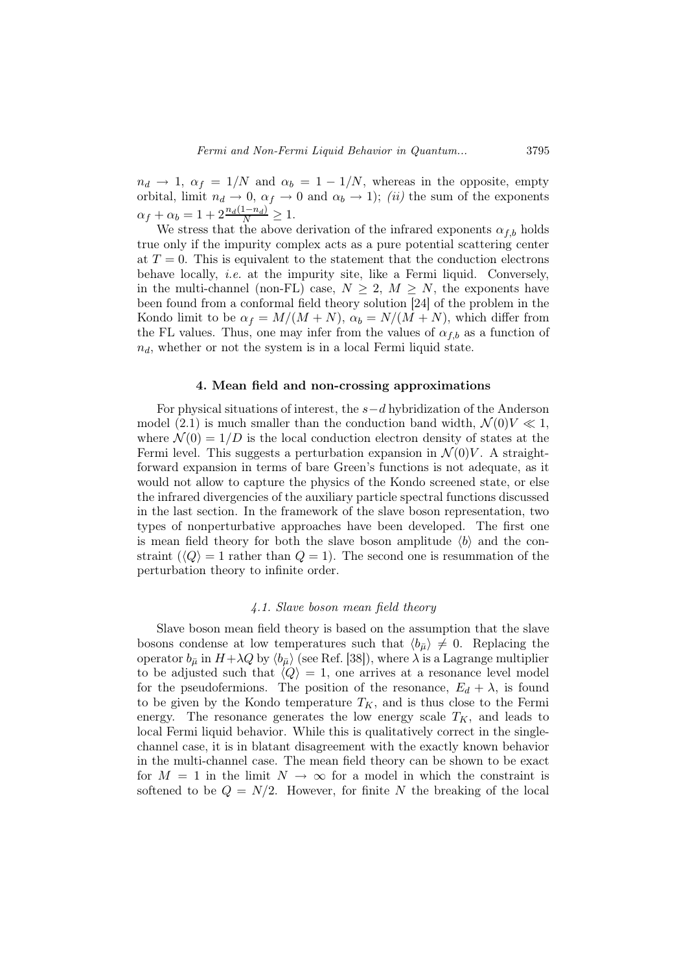$n_d \rightarrow 1$ ,  $\alpha_f = 1/N$  and  $\alpha_b = 1 - 1/N$ , whereas in the opposite, empty orbital, limit  $n_d \to 0$ ,  $\alpha_f \to 0$  and  $\alpha_b \to 1$ ); *(ii)* the sum of the exponents  $\alpha_f + \alpha_b = 1 + 2 \frac{n_d(1 - n_d)}{N} \ge 1.$ 

We stress that the above derivation of the infrared exponents  $\alpha_{f,b}$  holds true only if the impurity complex acts as a pure potential scattering center at  $T = 0$ . This is equivalent to the statement that the conduction electrons behave locally, *i.e.* at the impurity site, like a Fermi liquid. Conversely, in the multi-channel (non-FL) case,  $N \geq 2$ ,  $M \geq N$ , the exponents have been found from a conformal field theory solution [24] of the problem in the Kondo limit to be  $\alpha_f = M/(M+N)$ ,  $\alpha_b = N/(M+N)$ , which differ from the FL values. Thus, one may infer from the values of  $\alpha_{f,b}$  as a function of  $n_d$ , whether or not the system is in a local Fermi liquid state.

### 4. Mean field and non-crossing approximations

For physical situations of interest, the s−d hybridization of the Anderson model (2.1) is much smaller than the conduction band width,  $\mathcal{N}(0)V \ll 1$ , where  $\mathcal{N}(0) = 1/D$  is the local conduction electron density of states at the Fermi level. This suggests a perturbation expansion in  $\mathcal{N}(0)V$ . A straightforward expansion in terms of bare Green's functions is not adequate, as it would not allow to capture the physics of the Kondo screened state, or else the infrared divergencies of the auxiliary particle spectral functions discussed in the last section. In the framework of the slave boson representation, two types of nonperturbative approaches have been developed. The first one is mean field theory for both the slave boson amplitude  $\langle b \rangle$  and the constraint  $\langle Q \rangle = 1$  rather than  $Q = 1$ . The second one is resummation of the perturbation theory to infinite order.

# 4.1. Slave boson mean field theory

Slave boson mean field theory is based on the assumption that the slave bosons condense at low temperatures such that  $\langle b_{\bar{\mu}} \rangle \neq 0$ . Replacing the operator  $b_{\bar{\mu}}$  in  $H+\lambda Q$  by  $\langle b_{\bar{\mu}}\rangle$  (see Ref. [38]), where  $\lambda$  is a Lagrange multiplier to be adjusted such that  $\langle Q \rangle = 1$ , one arrives at a resonance level model for the pseudofermions. The position of the resonance,  $E_d + \lambda$ , is found to be given by the Kondo temperature  $T_K$ , and is thus close to the Fermi energy. The resonance generates the low energy scale  $T_K$ , and leads to local Fermi liquid behavior. While this is qualitatively correct in the singlechannel case, it is in blatant disagreement with the exactly known behavior in the multi-channel case. The mean field theory can be shown to be exact for  $M = 1$  in the limit  $N \to \infty$  for a model in which the constraint is softened to be  $Q = N/2$ . However, for finite N the breaking of the local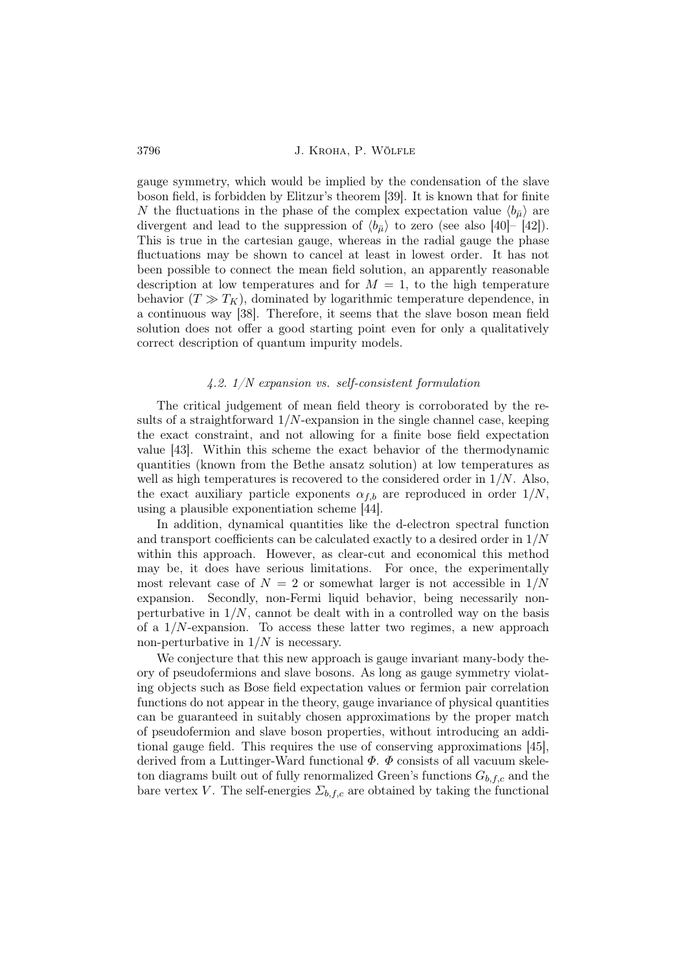gauge symmetry, which would be implied by the condensation of the slave boson field, is forbidden by Elitzur's theorem [39]. It is known that for finite N the fluctuations in the phase of the complex expectation value  $\langle b_{\bar{\mu}} \rangle$  are divergent and lead to the suppression of  $\langle b_{\bar{\mu}} \rangle$  to zero (see also [40]– [42]). This is true in the cartesian gauge, whereas in the radial gauge the phase fluctuations may be shown to cancel at least in lowest order. It has not been possible to connect the mean field solution, an apparently reasonable description at low temperatures and for  $M = 1$ , to the high temperature behavior  $(T \gg T_K)$ , dominated by logarithmic temperature dependence, in a continuous way [38]. Therefore, it seems that the slave boson mean field solution does not offer a good starting point even for only a qualitatively correct description of quantum impurity models.

### 4.2. 1/N expansion vs. self-consistent formulation

The critical judgement of mean field theory is corroborated by the results of a straightforward  $1/N$ -expansion in the single channel case, keeping the exact constraint, and not allowing for a finite bose field expectation value [43]. Within this scheme the exact behavior of the thermodynamic quantities (known from the Bethe ansatz solution) at low temperatures as well as high temperatures is recovered to the considered order in  $1/N$ . Also, the exact auxiliary particle exponents  $\alpha_{f,b}$  are reproduced in order  $1/N$ , using a plausible exponentiation scheme [44].

In addition, dynamical quantities like the d-electron spectral function and transport coefficients can be calculated exactly to a desired order in 1/N within this approach. However, as clear-cut and economical this method may be, it does have serious limitations. For once, the experimentally most relevant case of  $N = 2$  or somewhat larger is not accessible in  $1/N$ expansion. Secondly, non-Fermi liquid behavior, being necessarily nonperturbative in  $1/N$ , cannot be dealt with in a controlled way on the basis of a  $1/N$ -expansion. To access these latter two regimes, a new approach non-perturbative in  $1/N$  is necessary.

We conjecture that this new approach is gauge invariant many-body theory of pseudofermions and slave bosons. As long as gauge symmetry violating objects such as Bose field expectation values or fermion pair correlation functions do not appear in the theory, gauge invariance of physical quantities can be guaranteed in suitably chosen approximations by the proper match of pseudofermion and slave boson properties, without introducing an additional gauge field. This requires the use of conserving approximations [45], derived from a Luttinger-Ward functional  $\Phi$ .  $\Phi$  consists of all vacuum skeleton diagrams built out of fully renormalized Green's functions  $G_{b,f,c}$  and the bare vertex V. The self-energies  $\Sigma_{b,f,c}$  are obtained by taking the functional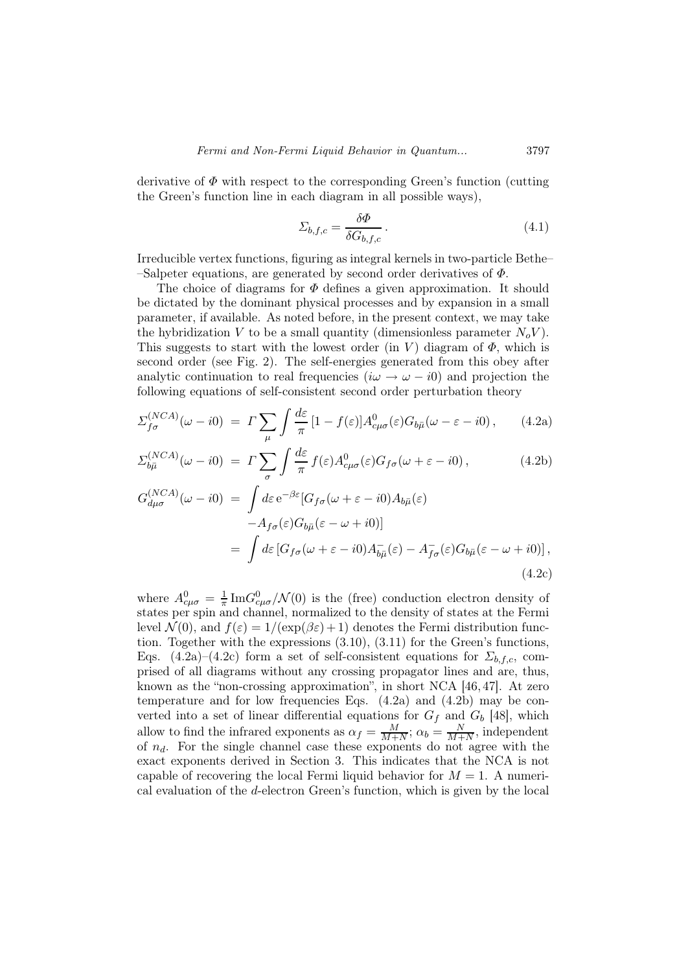derivative of  $\Phi$  with respect to the corresponding Green's function (cutting the Green's function line in each diagram in all possible ways),

$$
\Sigma_{b,f,c} = \frac{\delta \Phi}{\delta G_{b,f,c}}.
$$
\n(4.1)

Irreducible vertex functions, figuring as integral kernels in two-particle Bethe– –Salpeter equations, are generated by second order derivatives of  $\Phi$ .

The choice of diagrams for  $\Phi$  defines a given approximation. It should be dictated by the dominant physical processes and by expansion in a small parameter, if available. As noted before, in the present context, we may take the hybridization V to be a small quantity (dimensionless parameter  $N_oV$ ). This suggests to start with the lowest order (in V) diagram of  $\Phi$ , which is second order (see Fig. 2). The self-energies generated from this obey after analytic continuation to real frequencies  $(i\omega \rightarrow \omega - i0)$  and projection the following equations of self-consistent second order perturbation theory

$$
\Sigma_{f\sigma}^{(NCA)}(\omega - i0) = \Gamma \sum_{\mu} \int \frac{d\varepsilon}{\pi} \left[1 - f(\varepsilon)\right] A_{c\mu\sigma}^{0}(\varepsilon) G_{b\bar{\mu}}(\omega - \varepsilon - i0), \qquad (4.2a)
$$

$$
\Sigma_{b\bar{\mu}}^{(NCA)}(\omega - i0) = \Gamma \sum_{\sigma} \int \frac{d\varepsilon}{\pi} f(\varepsilon) A_{c\mu\sigma}^{0}(\varepsilon) G_{f\sigma}(\omega + \varepsilon - i0), \qquad (4.2b)
$$

$$
G_{d\mu\sigma}^{(NCA)}(\omega - i0) = \int d\varepsilon \, e^{-\beta \varepsilon} [G_{f\sigma}(\omega + \varepsilon - i0) A_{b\bar{\mu}}(\varepsilon)]
$$
  

$$
-A_{f\sigma}(\varepsilon) G_{b\bar{\mu}}(\varepsilon - \omega + i0)]
$$
  

$$
= \int d\varepsilon \left[ G_{f\sigma}(\omega + \varepsilon - i0) A_{b\bar{\mu}}(\varepsilon) - A_{f\sigma}(\varepsilon) G_{b\bar{\mu}}(\varepsilon - \omega + i0) \right],
$$
  
(4.2c)

where  $A_{c\mu\sigma}^{0} = \frac{1}{\pi}$  $\frac{1}{\pi} \text{Im} G_{c\mu\sigma}^{0} / \mathcal{N}(0)$  is the (free) conduction electron density of states per spin and channel, normalized to the density of states at the Fermi level  $\mathcal{N}(0)$ , and  $f(\varepsilon) = 1/(\exp(\beta \varepsilon) + 1)$  denotes the Fermi distribution function. Together with the expressions (3.10), (3.11) for the Green's functions, Eqs. (4.2a)–(4.2c) form a set of self-consistent equations for  $\Sigma_{b,f,c}$ , comprised of all diagrams without any crossing propagator lines and are, thus, known as the "non-crossing approximation", in short NCA [46, 47]. At zero temperature and for low frequencies Eqs.  $(4.2a)$  and  $(4.2b)$  may be converted into a set of linear differential equations for  $G_f$  and  $G_b$  [48], which allow to find the infrared exponents as  $\alpha_f = \frac{M}{M+1}$  $\frac{M}{M+N}$ ;  $\alpha_b = \frac{N}{M+N}$  $\frac{N}{M+N}$ , independent of  $n_d$ . For the single channel case these exponents do not agree with the exact exponents derived in Section 3. This indicates that the NCA is not capable of recovering the local Fermi liquid behavior for  $M = 1$ . A numerical evaluation of the d-electron Green's function, which is given by the local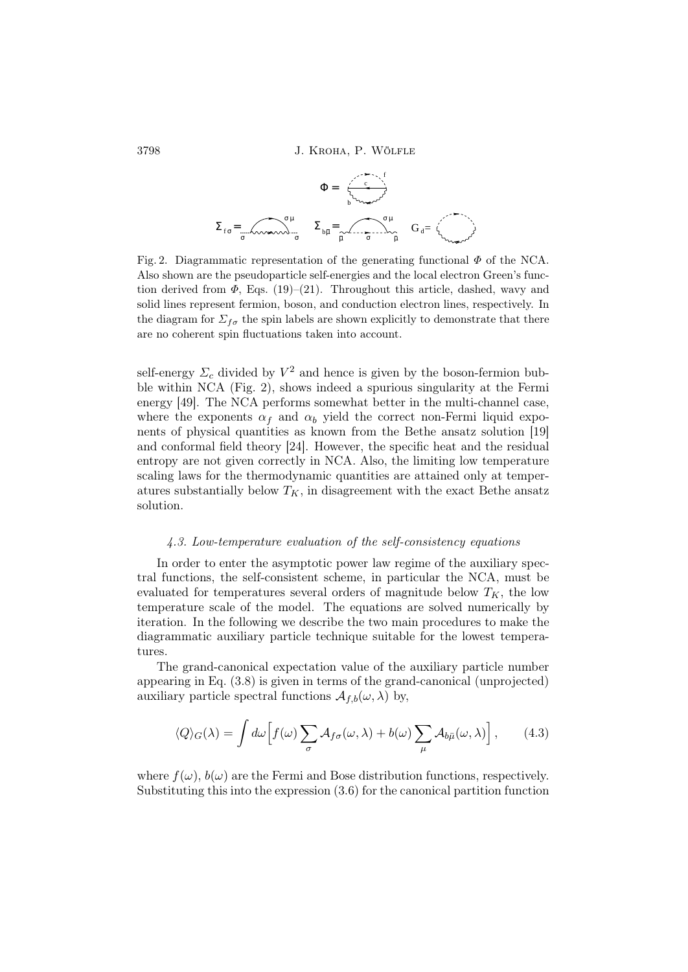$$
\Sigma_{f\sigma} = \underbrace{\sum_{\mu} \underbrace{\sum_{b\bar{\mu}} \sum_{\bar{\mu}} \sum_{\bar{\mu}} \sum_{\bar{\mu}} \sum_{\bar{\mu}} \sum_{\bar{\mu}} \sum_{\bar{\mu}} \sum_{\bar{\mu}} \sum_{\bar{\mu}} \sum_{\bar{\mu}} \sum_{\bar{\mu}} \sum_{\bar{\mu}} \sum_{\bar{\mu}} \sum_{\bar{\mu}} \sum_{\bar{\mu}} \sum_{\bar{\mu}} \sum_{\bar{\mu}} \sum_{\bar{\mu}} \sum_{\bar{\mu}} \sum_{\bar{\mu}} \sum_{\bar{\mu}} \sum_{\bar{\mu}} \sum_{\bar{\mu}} \sum_{\bar{\mu}} \sum_{\bar{\mu}} \sum_{\bar{\mu}} \sum_{\bar{\mu}} \sum_{\bar{\mu}} \sum_{\bar{\mu}} \sum_{\bar{\mu}} \sum_{\bar{\mu}} \sum_{\bar{\mu}} \sum_{\bar{\mu}} \sum_{\bar{\mu}} \sum_{\bar{\mu}} \sum_{\bar{\mu}} \sum_{\bar{\mu}} \sum_{\bar{\mu}} \sum_{\bar{\mu}} \sum_{\bar{\mu}} \sum_{\bar{\mu}} \sum_{\bar{\mu}} \sum_{\bar{\mu}} \sum_{\bar{\mu}} \sum_{\bar{\mu}} \sum_{\bar{\mu}} \sum_{\bar{\mu}} \sum_{\bar{\mu}} \sum_{\bar{\mu}} \sum_{\bar{\mu}} \sum_{\bar{\mu}} \sum_{\bar{\mu}} \sum_{\bar{\mu}} \sum_{\bar{\mu}} \sum_{\bar{\mu}} \sum_{\bar{\mu}} \sum_{\bar{\mu}} \sum_{\bar{\mu}} \sum_{\bar{\mu}} \sum_{\bar{\mu}} \sum_{\bar{\mu}} \sum_{\bar{\mu}} \sum_{\bar{\mu}} \sum_{\bar{\mu}} \sum_{\bar{\mu}} \sum_{\bar{\mu}} \sum_{\bar{\mu}} \sum_{\bar{\mu}} \sum_{\bar{\mu}} \sum_{\bar{\mu}} \sum_{\bar{\mu}} \sum_{\bar{\mu}} \sum_{\bar{\mu}} \sum_{\bar{\mu}} \sum_{\bar{\mu}} \sum_{\bar{\mu}} \sum_{\bar{\mu}} \sum_{\bar{\mu}} \sum_{\bar{\mu}} \sum_{\bar{\mu}} \sum_{\bar{\mu}} \sum_{\bar{\mu}} \sum_{\bar{\mu}} \sum_{\bar{\mu}} \sum_{\bar{\mu}} \sum_{\bar{\mu}} \sum_{\bar{\mu}} \sum_{\bar{\mu}} \sum_{\bar{\mu}} \sum_{\bar{\mu}} \sum_{\bar{\mu}} \sum_{\bar{\mu}} \sum_{
$$

Fig. 2. Diagrammatic representation of the generating functional  $\Phi$  of the NCA. Also shown are the pseudoparticle self-energies and the local electron Green's function derived from  $\Phi$ , Eqs. (19)–(21). Throughout this article, dashed, wavy and solid lines represent fermion, boson, and conduction electron lines, respectively. In the diagram for  $\Sigma_{f\sigma}$  the spin labels are shown explicitly to demonstrate that there are no coherent spin fluctuations taken into account.

self-energy  $\Sigma_c$  divided by  $V^2$  and hence is given by the boson-fermion bubble within NCA (Fig. 2), shows indeed a spurious singularity at the Fermi energy [49]. The NCA performs somewhat better in the multi-channel case, where the exponents  $\alpha_f$  and  $\alpha_b$  yield the correct non-Fermi liquid exponents of physical quantities as known from the Bethe ansatz solution [19] and conformal field theory [24]. However, the specific heat and the residual entropy are not given correctly in NCA. Also, the limiting low temperature scaling laws for the thermodynamic quantities are attained only at temperatures substantially below  $T_K$ , in disagreement with the exact Bethe ansatz solution.

### 4.3. Low-temperature evaluation of the self-consistency equations

In order to enter the asymptotic power law regime of the auxiliary spectral functions, the self-consistent scheme, in particular the NCA, must be evaluated for temperatures several orders of magnitude below  $T_K$ , the low temperature scale of the model. The equations are solved numerically by iteration. In the following we describe the two main procedures to make the diagrammatic auxiliary particle technique suitable for the lowest temperatures.

The grand-canonical expectation value of the auxiliary particle number appearing in Eq. (3.8) is given in terms of the grand-canonical (unprojected) auxiliary particle spectral functions  $\mathcal{A}_{f,b}(\omega,\lambda)$  by,

$$
\langle Q \rangle_G(\lambda) = \int d\omega \Big[ f(\omega) \sum_{\sigma} \mathcal{A}_{f\sigma}(\omega, \lambda) + b(\omega) \sum_{\mu} \mathcal{A}_{b\bar{\mu}}(\omega, \lambda) \Big], \qquad (4.3)
$$

where  $f(\omega)$ ,  $b(\omega)$  are the Fermi and Bose distribution functions, respectively. Substituting this into the expression (3.6) for the canonical partition function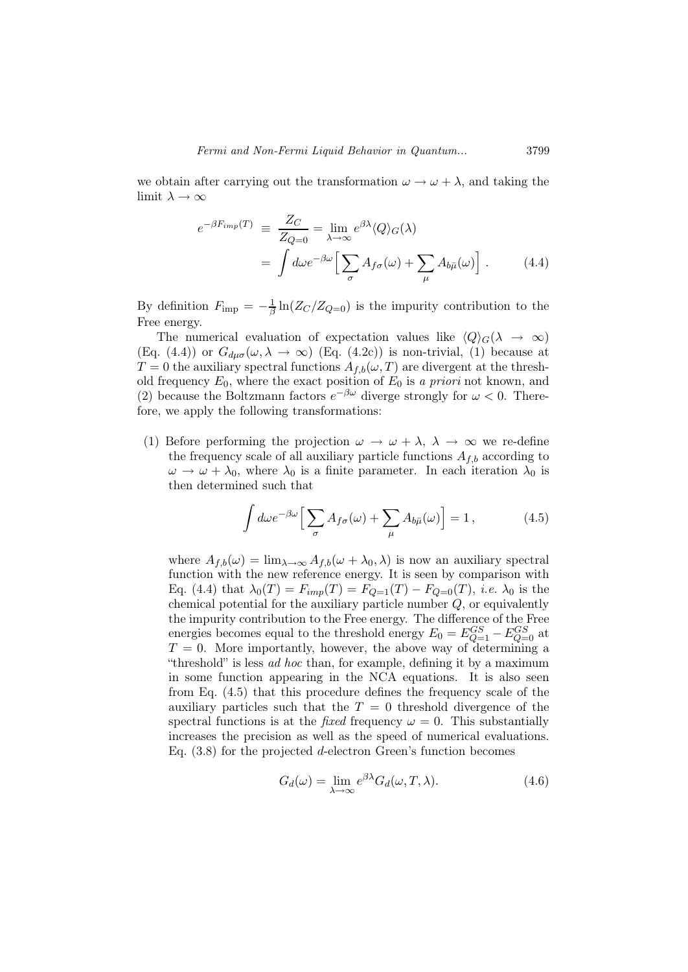we obtain after carrying out the transformation  $\omega \to \omega + \lambda$ , and taking the limit  $\lambda \to \infty$ 

$$
e^{-\beta F_{imp}(T)} \equiv \frac{Z_C}{Z_{Q=0}} = \lim_{\lambda \to \infty} e^{\beta \lambda} \langle Q \rangle_G(\lambda)
$$

$$
= \int d\omega e^{-\beta \omega} \Big[ \sum_{\sigma} A_{f\sigma}(\omega) + \sum_{\mu} A_{b\bar{\mu}}(\omega) \Big]. \tag{4.4}
$$

By definition  $F_{\text{imp}} = -\frac{1}{\beta} \ln(Z_C/Z_{Q=0})$  is the impurity contribution to the Free energy.

The numerical evaluation of expectation values like  $\langle Q \rangle_G(\lambda \to \infty)$ (Eq. (4.4)) or  $G_{du\sigma}(\omega,\lambda \to \infty)$  (Eq. (4.2c)) is non-trivial, (1) because at  $T = 0$  the auxiliary spectral functions  $A_{f,b}(\omega, T)$  are divergent at the threshold frequency  $E_0$ , where the exact position of  $E_0$  is a priori not known, and (2) because the Boltzmann factors  $e^{-\beta \omega}$  diverge strongly for  $\omega < 0$ . Therefore, we apply the following transformations:

(1) Before performing the projection  $\omega \to \omega + \lambda$ ,  $\lambda \to \infty$  we re-define the frequency scale of all auxiliary particle functions  $A_{f,b}$  according to  $\omega \to \omega + \lambda_0$ , where  $\lambda_0$  is a finite parameter. In each iteration  $\lambda_0$  is then determined such that

$$
\int d\omega e^{-\beta \omega} \Big[ \sum_{\sigma} A_{f\sigma}(\omega) + \sum_{\mu} A_{b\bar{\mu}}(\omega) \Big] = 1, \tag{4.5}
$$

where  $A_{f,b}(\omega) = \lim_{\lambda \to \infty} A_{f,b}(\omega + \lambda_0, \lambda)$  is now an auxiliary spectral function with the new reference energy. It is seen by comparison with Eq. (4.4) that  $\lambda_0(T) = F_{imp}(T) = F_{Q=1}(T) - F_{Q=0}(T)$ , *i.e.*  $\lambda_0$  is the chemical potential for the auxiliary particle number  $Q$ , or equivalently the impurity contribution to the Free energy. The difference of the Free energies becomes equal to the threshold energy  $E_0 = E_{Q=1}^{GS} - E_{Q=0}^{GS}$  at  $T = 0$ . More importantly, however, the above way of determining a "threshold" is less ad hoc than, for example, defining it by a maximum in some function appearing in the NCA equations. It is also seen from Eq. (4.5) that this procedure defines the frequency scale of the auxiliary particles such that the  $T = 0$  threshold divergence of the spectral functions is at the *fixed* frequency  $\omega = 0$ . This substantially increases the precision as well as the speed of numerical evaluations. Eq.  $(3.8)$  for the projected d-electron Green's function becomes

$$
G_d(\omega) = \lim_{\lambda \to \infty} e^{\beta \lambda} G_d(\omega, T, \lambda).
$$
 (4.6)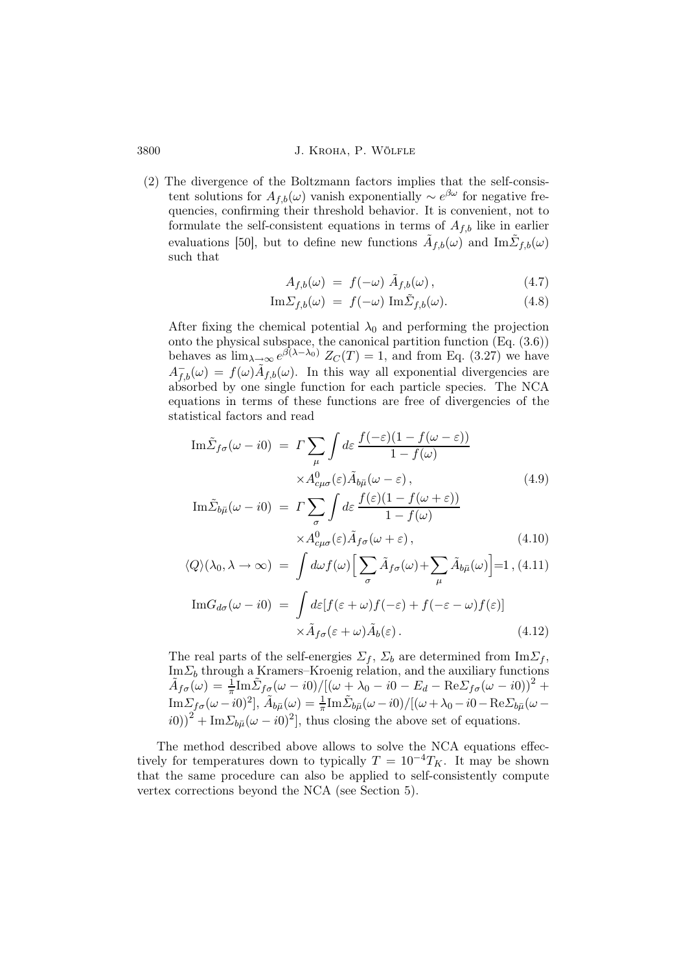3800 J. Kroha, P. Wölfle

(2) The divergence of the Boltzmann factors implies that the self-consistent solutions for  $A_{f,b}(\omega)$  vanish exponentially  $\sim e^{\beta \omega}$  for negative frequencies, confirming their threshold behavior. It is convenient, not to formulate the self-consistent equations in terms of  $A_{f,b}$  like in earlier evaluations [50], but to define new functions  $\tilde{A}_{f,b}(\omega)$  and  $\text{Im}\tilde{\Sigma}_{f,b}(\omega)$ such that

$$
A_{f,b}(\omega) = f(-\omega) \tilde{A}_{f,b}(\omega), \qquad (4.7)
$$

$$
\mathrm{Im}\Sigma_{f,b}(\omega) = f(-\omega)\ \mathrm{Im}\tilde{\Sigma}_{f,b}(\omega). \tag{4.8}
$$

After fixing the chemical potential  $\lambda_0$  and performing the projection onto the physical subspace, the canonical partition function (Eq. (3.6)) behaves as  $\lim_{\lambda \to \infty} e^{\beta(\lambda - \lambda_0)} Z_C(T) = 1$ , and from Eq. (3.27) we have  $A_{f,b}^-(\omega) = f(\omega) \tilde{A}_{f,b}(\omega)$ . In this way all exponential divergencies are absorbed by one single function for each particle species. The NCA equations in terms of these functions are free of divergencies of the statistical factors and read

$$
\operatorname{Im}\tilde{\Sigma}_{f\sigma}(\omega - i0) = \Gamma \sum_{\mu} \int d\varepsilon \frac{f(-\varepsilon)(1 - f(\omega - \varepsilon))}{1 - f(\omega)}
$$

$$
\times A_{c\mu\sigma}^{0}(\varepsilon) \tilde{A}_{b\bar{\mu}}(\omega - \varepsilon), \qquad (4.9)
$$

$$
\operatorname{Im}\tilde{\Sigma}_{t}(\omega - i0) = \Gamma \sum \int d\varepsilon \frac{f(\varepsilon)(1 - f(\omega + \varepsilon))}{1 - f(\omega + \varepsilon)}
$$

$$
\text{Im}\tilde{\Sigma}_{b\bar{\mu}}(\omega - i0) = \Gamma \sum_{\sigma} \int d\varepsilon \, \frac{f(\varepsilon)(1 - f(\omega + \varepsilon))}{1 - f(\omega)} \times A^0_{c\mu\sigma}(\varepsilon) \tilde{A}_{f\sigma}(\omega + \varepsilon), \tag{4.10}
$$

$$
\langle Q \rangle (\lambda_0, \lambda \to \infty) = \int d\omega f(\omega) \Big[ \sum_{\sigma} \tilde{A}_{f\sigma}(\omega) + \sum_{\mu} \tilde{A}_{b\bar{\mu}}(\omega) \Big] = 1, (4.11)
$$

$$
\text{Im}G_{d\sigma}(\omega - i0) = \int d\varepsilon [f(\varepsilon + \omega)f(-\varepsilon) + f(-\varepsilon - \omega)f(\varepsilon)]
$$
  
 
$$
\times \tilde{A}_{f\sigma}(\varepsilon + \omega) \tilde{A}_b(\varepsilon).
$$
 (4.12)

The real parts of the self-energies  $\Sigma_f$ ,  $\Sigma_b$  are determined from  $\text{Im}\Sigma_f$ ,  $\text{Im}\Sigma_b$  through a Kramers–Kroenig relation, and the auxiliary functions  $\tilde{A}_{f\sigma}(\omega) = \frac{1}{\pi} {\rm Im}\tilde{\Sigma}_{f\sigma}(\omega - i0)/[(\omega + \lambda_0 - i0 - E_d - \mathrm{Re}\Sigma_{f\sigma}(\omega - i0))^2 +$  ${\rm Im}\Sigma_{f\sigma}(\omega -i0)^2],\, \tilde{A}_{b\bar{\mu}}(\omega )=\frac{1}{\pi}{\rm Im}\tilde{\Sigma}_{b\bar{\mu}}(\omega -i0)/[(\omega +\lambda_0-i0-{\rm Re}\Sigma_{b\bar{\mu}}(\omega (i0)\right)^2 + \text{Im}\Sigma_{b\bar{\mu}}(\omega - i0)^2$ , thus closing the above set of equations.

The method described above allows to solve the NCA equations effectively for temperatures down to typically  $T = 10^{-4}T_K$ . It may be shown that the same procedure can also be applied to self-consistently compute vertex corrections beyond the NCA (see Section 5).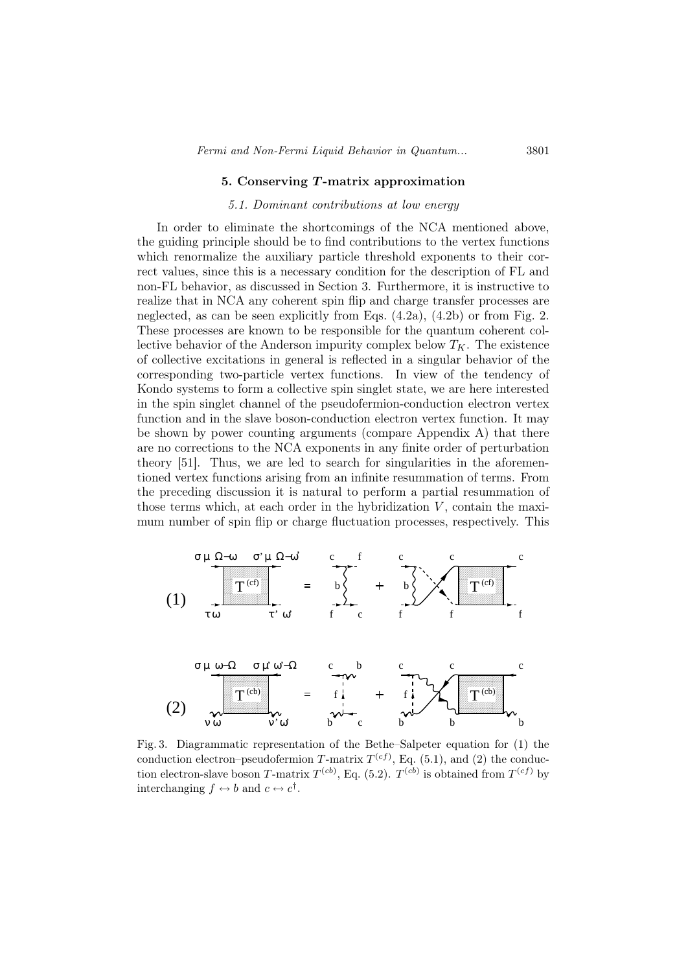#### 5. Conserving T-matrix approximation

### 5.1. Dominant contributions at low energy

In order to eliminate the shortcomings of the NCA mentioned above, the guiding principle should be to find contributions to the vertex functions which renormalize the auxiliary particle threshold exponents to their correct values, since this is a necessary condition for the description of FL and non-FL behavior, as discussed in Section 3. Furthermore, it is instructive to realize that in NCA any coherent spin flip and charge transfer processes are neglected, as can be seen explicitly from Eqs. (4.2a), (4.2b) or from Fig. 2. These processes are known to be responsible for the quantum coherent collective behavior of the Anderson impurity complex below  $T_K$ . The existence of collective excitations in general is reflected in a singular behavior of the corresponding two-particle vertex functions. In view of the tendency of Kondo systems to form a collective spin singlet state, we are here interested in the spin singlet channel of the pseudofermion-conduction electron vertex function and in the slave boson-conduction electron vertex function. It may be shown by power counting arguments (compare Appendix A) that there are no corrections to the NCA exponents in any finite order of perturbation theory [51]. Thus, we are led to search for singularities in the aforementioned vertex functions arising from an infinite resummation of terms. From the preceding discussion it is natural to perform a partial resummation of those terms which, at each order in the hybridization  $V$ , contain the maximum number of spin flip or charge fluctuation processes, respectively. This



Fig. 3. Diagrammatic representation of the Bethe–Salpeter equation for (1) the conduction electron–pseudofermion T-matrix  $T^{(cf)}$ , Eq. (5.1), and (2) the conduction electron-slave boson T-matrix  $T^{(cb)}$ , Eq. (5.2).  $T^{(cb)}$  is obtained from  $T^{(cf)}$  by interchanging  $f \leftrightarrow b$  and  $c \leftrightarrow c^{\dagger}$ .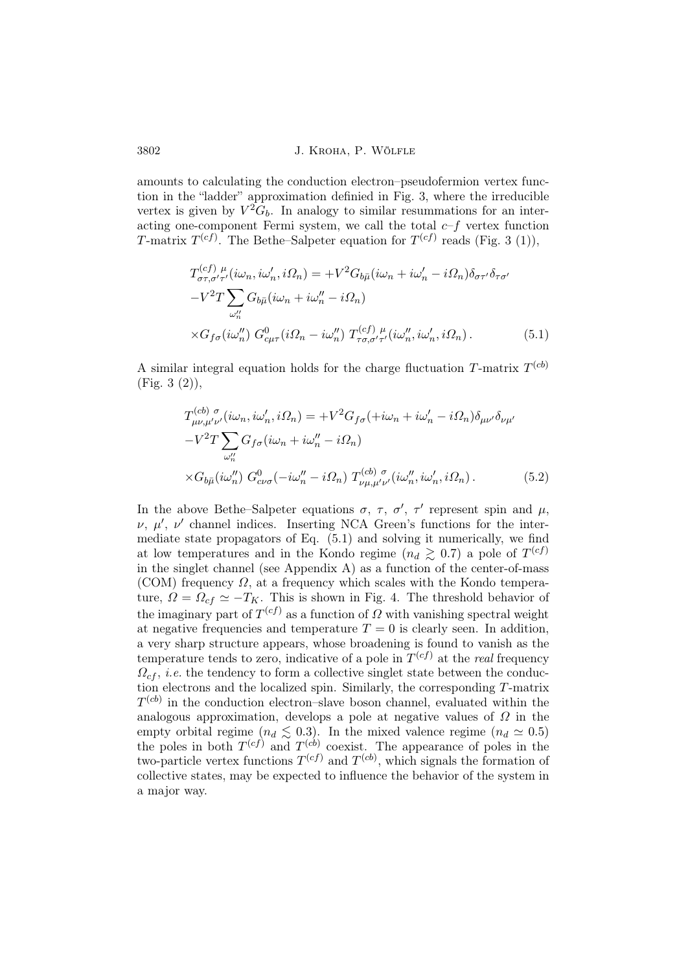amounts to calculating the conduction electron–pseudofermion vertex function in the "ladder" approximation definied in Fig. 3, where the irreducible vertex is given by  $V^2G_b$ . In analogy to similar resummations for an interacting one-component Fermi system, we call the total  $c-f$  vertex function T-matrix  $T^{(cf)}$ . The Bethe–Salpeter equation for  $T^{(cf)}$  reads (Fig. 3 (1)),

$$
T_{\sigma\tau,\sigma'\tau'}^{(cf)}\mu(i\omega_n,i\omega'_n,i\Omega_n) = +V^2 G_{b\bar{\mu}}(i\omega_n+i\omega'_n-i\Omega_n)\delta_{\sigma\tau'}\delta_{\tau\sigma'}
$$

$$
-V^2 T \sum_{\omega''_n} G_{b\bar{\mu}}(i\omega_n+i\omega''_n-i\Omega_n)
$$

$$
\times G_{f\sigma}(i\omega''_n) G_{c\mu\tau}^0(i\Omega_n-i\omega''_n) T_{\tau\sigma,\sigma'\tau'}^{(cf)}\mu(i\omega''_n,i\omega'_n,i\Omega_n).
$$
(5.1)

A similar integral equation holds for the charge fluctuation T-matrix  $T^{(cb)}$ (Fig. 3 (2)),

$$
T^{(cb)\ \sigma}_{\mu\nu,\mu'\nu'}(i\omega_n, i\omega'_n, i\Omega_n) = +V^2 G_{f\sigma}(+i\omega_n + i\omega'_n - i\Omega_n)\delta_{\mu\nu'}\delta_{\nu\mu'}
$$

$$
-V^2 T \sum_{\omega''_n} G_{f\sigma}(i\omega_n + i\omega''_n - i\Omega_n)
$$

$$
\times G_{b\bar{\mu}}(i\omega''_n) G^0_{c\nu\sigma}(-i\omega''_n - i\Omega_n) T^{(cb)\ \sigma}_{\nu\mu,\mu'\nu'}(i\omega''_n, i\omega'_n, i\Omega_n).
$$
(5.2)

In the above Bethe–Salpeter equations  $\sigma$ ,  $\tau$ ,  $\sigma'$ ,  $\tau'$  represent spin and  $\mu$ ,  $\nu, \mu', \nu'$  channel indices. Inserting NCA Green's functions for the intermediate state propagators of Eq. (5.1) and solving it numerically, we find at low temperatures and in the Kondo regime  $(n_d \geq 0.7)$  a pole of  $T^{(cf)}$ in the singlet channel (see Appendix A) as a function of the center-of-mass (COM) frequency  $\Omega$ , at a frequency which scales with the Kondo temperature,  $\Omega = \Omega_{cf} \simeq -T_K$ . This is shown in Fig. 4. The threshold behavior of the imaginary part of  $T^{(cf)}$  as a function of  $\Omega$  with vanishing spectral weight at negative frequencies and temperature  $T = 0$  is clearly seen. In addition, a very sharp structure appears, whose broadening is found to vanish as the temperature tends to zero, indicative of a pole in  $T^{(cf)}$  at the *real* frequency  $\Omega_{cf}$ , *i.e.* the tendency to form a collective singlet state between the conduction electrons and the localized spin. Similarly, the corresponding T-matrix  $T<sup>(cb)</sup>$  in the conduction electron–slave boson channel, evaluated within the analogous approximation, develops a pole at negative values of  $\Omega$  in the empty orbital regime  $(n_d \leq 0.3)$ . In the mixed valence regime  $(n_d \approx 0.5)$ the poles in both  $T^{(cf)}$  and  $T^{(cb)}$  coexist. The appearance of poles in the two-particle vertex functions  $T^{(cf)}$  and  $T^{(cb)}$ , which signals the formation of collective states, may be expected to influence the behavior of the system in a major way.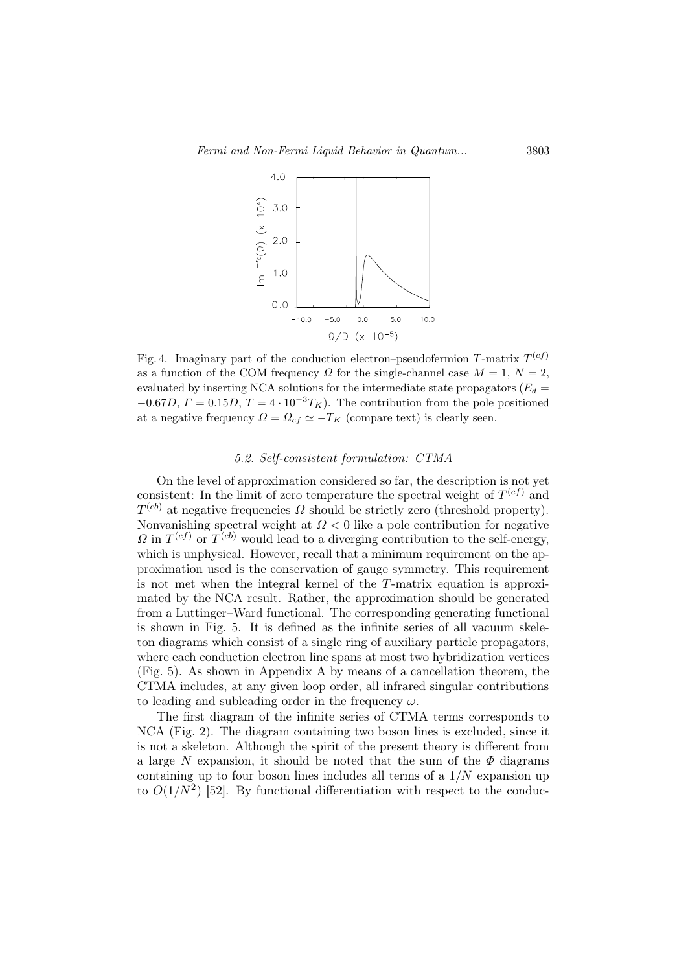

Fig. 4. Imaginary part of the conduction electron-pseudofermion T-matrix  $T^{(cf)}$ as a function of the COM frequency  $\Omega$  for the single-channel case  $M = 1, N = 2$ , evaluated by inserting NCA solutions for the intermediate state propagators  $(E_d =$  $-0.67D, \Gamma = 0.15D, T = 4 \cdot 10^{-3}T_K$ . The contribution from the pole positioned at a negative frequency  $\Omega = \Omega_{cf} \simeq -T_K$  (compare text) is clearly seen.

### 5.2. Self-consistent formulation: CTMA

On the level of approximation considered so far, the description is not yet consistent: In the limit of zero temperature the spectral weight of  $T^{(cf)}$  and  $T^{(cb)}$  at negative frequencies  $\Omega$  should be strictly zero (threshold property). Nonvanishing spectral weight at  $\Omega$  < 0 like a pole contribution for negative  $\Omega$  in  $T^{(cf)}$  or  $T^{(cb)}$  would lead to a diverging contribution to the self-energy, which is unphysical. However, recall that a minimum requirement on the approximation used is the conservation of gauge symmetry. This requirement is not met when the integral kernel of the T-matrix equation is approximated by the NCA result. Rather, the approximation should be generated from a Luttinger–Ward functional. The corresponding generating functional is shown in Fig. 5. It is defined as the infinite series of all vacuum skeleton diagrams which consist of a single ring of auxiliary particle propagators, where each conduction electron line spans at most two hybridization vertices (Fig. 5). As shown in Appendix A by means of a cancellation theorem, the CTMA includes, at any given loop order, all infrared singular contributions to leading and subleading order in the frequency  $\omega$ .

The first diagram of the infinite series of CTMA terms corresponds to NCA (Fig. 2). The diagram containing two boson lines is excluded, since it is not a skeleton. Although the spirit of the present theory is different from a large N expansion, it should be noted that the sum of the  $\Phi$  diagrams containing up to four boson lines includes all terms of a  $1/N$  expansion up to  $O(1/N^2)$  [52]. By functional differentiation with respect to the conduc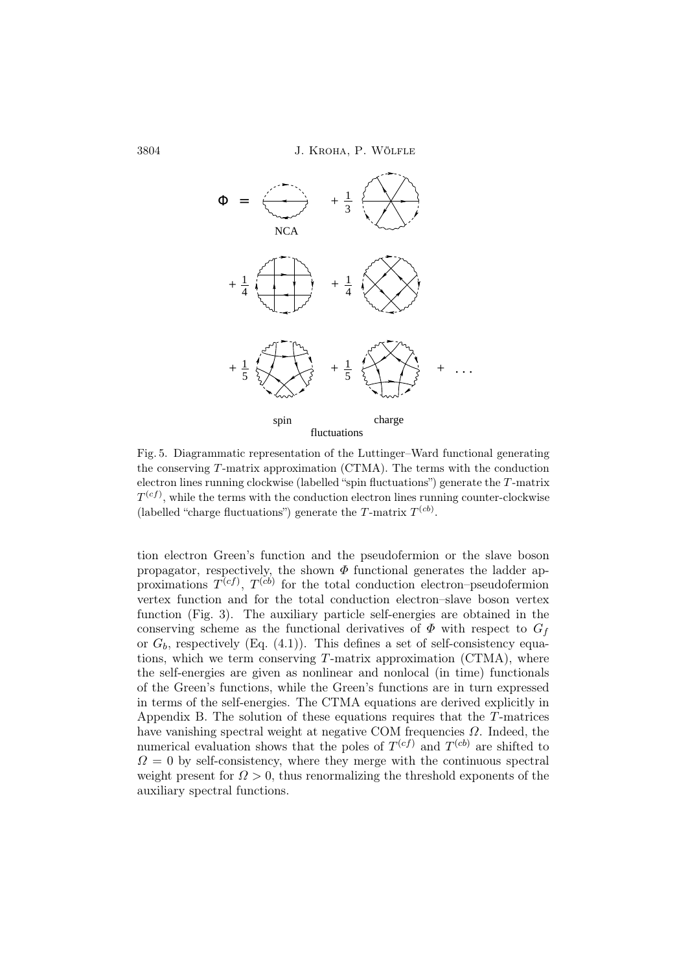3804 J. Kroha, P. Wölfle



Fig. 5. Diagrammatic representation of the Luttinger–Ward functional generating the conserving  $T$ -matrix approximation (CTMA). The terms with the conduction electron lines running clockwise (labelled "spin fluctuations") generate the T -matrix  $T^{(cf)}$ , while the terms with the conduction electron lines running counter-clockwise (labelled "charge fluctuations") generate the T-matrix  $T^{(cb)}$ .

tion electron Green's function and the pseudofermion or the slave boson propagator, respectively, the shown  $\Phi$  functional generates the ladder approximations  $T^{(cf)}$ ,  $T^{(cb)}$  for the total conduction electron-pseudofermion vertex function and for the total conduction electron–slave boson vertex function (Fig. 3). The auxiliary particle self-energies are obtained in the conserving scheme as the functional derivatives of  $\Phi$  with respect to  $G_f$ or  $G_b$ , respectively (Eq. (4.1)). This defines a set of self-consistency equations, which we term conserving  $T$ -matrix approximation (CTMA), where the self-energies are given as nonlinear and nonlocal (in time) functionals of the Green's functions, while the Green's functions are in turn expressed in terms of the self-energies. The CTMA equations are derived explicitly in Appendix B. The solution of these equations requires that the  $T$ -matrices have vanishing spectral weight at negative COM frequencies  $\Omega$ . Indeed, the numerical evaluation shows that the poles of  $T^{(cf)}$  and  $T^{(cb)}$  are shifted to  $\Omega = 0$  by self-consistency, where they merge with the continuous spectral weight present for  $\Omega > 0$ , thus renormalizing the threshold exponents of the auxiliary spectral functions.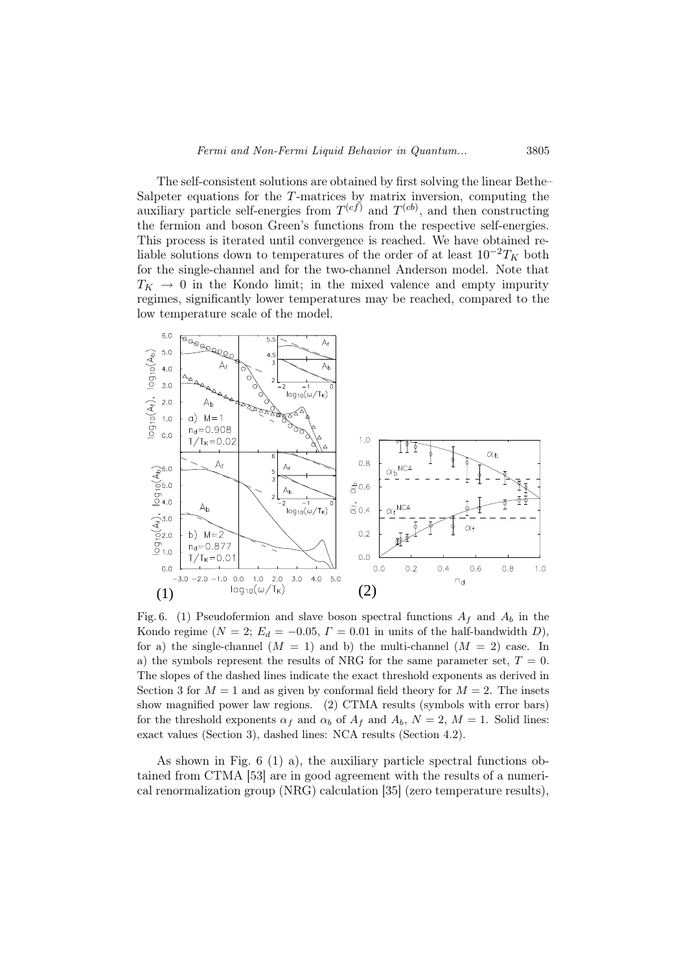The self-consistent solutions are obtained by first solving the linear Bethe– Salpeter equations for the  $T$ -matrices by matrix inversion, computing the auxiliary particle self-energies from  $T^{(cf)}$  and  $T^{(cb)}$ , and then constructing the fermion and boson Green's functions from the respective self-energies. This process is iterated until convergence is reached. We have obtained reliable solutions down to temperatures of the order of at least  $10^{-2}T_K$  both for the single-channel and for the two-channel Anderson model. Note that  $T_K \rightarrow 0$  in the Kondo limit; in the mixed valence and empty impurity regimes, significantly lower temperatures may be reached, compared to the low temperature scale of the model.



Fig. 6. (1) Pseudofermion and slave boson spectral functions  $A_f$  and  $A_b$  in the Kondo regime ( $N = 2$ ;  $E_d = -0.05$ ,  $\Gamma = 0.01$  in units of the half-bandwidth D), for a) the single-channel  $(M = 1)$  and b) the multi-channel  $(M = 2)$  case. In a) the symbols represent the results of NRG for the same parameter set,  $T = 0$ . The slopes of the dashed lines indicate the exact threshold exponents as derived in Section 3 for  $M = 1$  and as given by conformal field theory for  $M = 2$ . The insets show magnified power law regions. (2) CTMA results (symbols with error bars) for the threshold exponents  $\alpha_f$  and  $\alpha_b$  of  $A_f$  and  $A_b$ ,  $N = 2$ ,  $M = 1$ . Solid lines: exact values (Section 3), dashed lines: NCA results (Section 4.2).

As shown in Fig. 6 (1) a), the auxiliary particle spectral functions obtained from CTMA [53] are in good agreement with the results of a numerical renormalization group (NRG) calculation [35] (zero temperature results),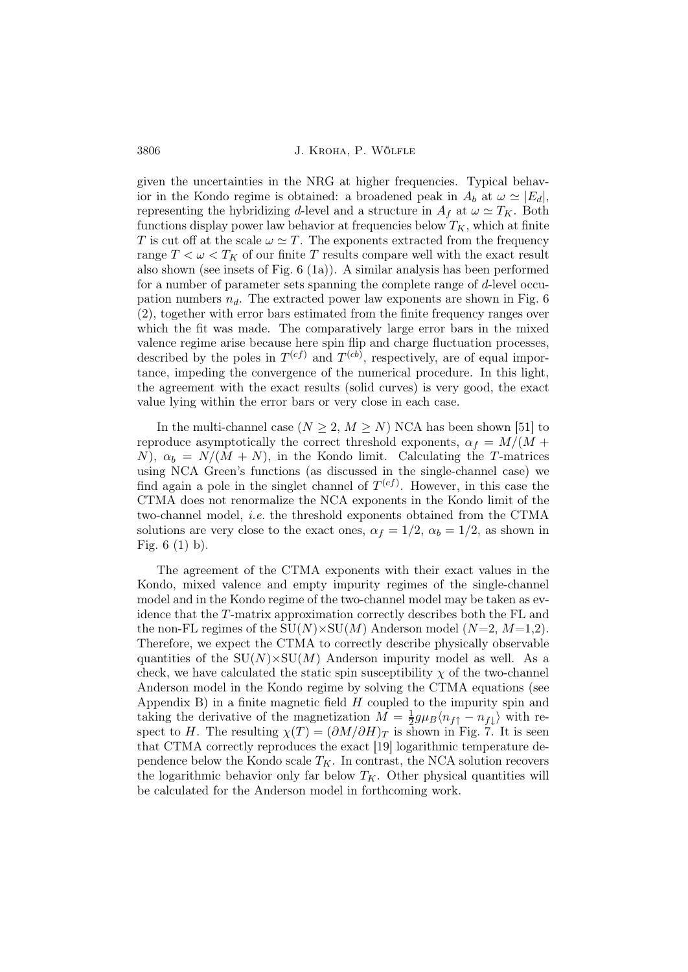3806 J. Kroha, P. Wölfle

given the uncertainties in the NRG at higher frequencies. Typical behavior in the Kondo regime is obtained: a broadened peak in  $A_b$  at  $\omega \simeq |E_d|$ , representing the hybridizing d-level and a structure in  $A_f$  at  $\omega \simeq T_K$ . Both functions display power law behavior at frequencies below  $T_K$ , which at finite T is cut off at the scale  $\omega \simeq T$ . The exponents extracted from the frequency range  $T < \omega < T_K$  of our finite T results compare well with the exact result also shown (see insets of Fig. 6 (1a)). A similar analysis has been performed for a number of parameter sets spanning the complete range of d-level occupation numbers  $n_d$ . The extracted power law exponents are shown in Fig. 6 (2), together with error bars estimated from the finite frequency ranges over which the fit was made. The comparatively large error bars in the mixed valence regime arise because here spin flip and charge fluctuation processes, described by the poles in  $T^{(cf)}$  and  $T^{(cb)}$ , respectively, are of equal importance, impeding the convergence of the numerical procedure. In this light, the agreement with the exact results (solid curves) is very good, the exact value lying within the error bars or very close in each case.

In the multi-channel case  $(N \geq 2, M \geq N)$  NCA has been shown [51] to reproduce asymptotically the correct threshold exponents,  $\alpha_f = M/(M +$ N),  $\alpha_b = N/(M + N)$ , in the Kondo limit. Calculating the T-matrices using NCA Green's functions (as discussed in the single-channel case) we find again a pole in the singlet channel of  $T^{(cf)}$ . However, in this case the CTMA does not renormalize the NCA exponents in the Kondo limit of the two-channel model, i.e. the threshold exponents obtained from the CTMA solutions are very close to the exact ones,  $\alpha_f = 1/2$ ,  $\alpha_b = 1/2$ , as shown in Fig. 6 (1) b).

The agreement of the CTMA exponents with their exact values in the Kondo, mixed valence and empty impurity regimes of the single-channel model and in the Kondo regime of the two-channel model may be taken as evidence that the T-matrix approximation correctly describes both the FL and the non-FL regimes of the  $SU(N) \times SU(M)$  Anderson model  $(N=2, M=1,2)$ . Therefore, we expect the CTMA to correctly describe physically observable quantities of the  $SU(N) \times SU(M)$  Anderson impurity model as well. As a check, we have calculated the static spin susceptibility  $\chi$  of the two-channel Anderson model in the Kondo regime by solving the CTMA equations (see Appendix B) in a finite magnetic field  $H$  coupled to the impurity spin and taking the derivative of the magnetization  $M = \frac{1}{2}$  $\frac{1}{2}g\mu_B\langle n_{f\uparrow} - n_{f\downarrow}\rangle$  with respect to H. The resulting  $\chi(T) = (\partial M/\partial H)_T$  is shown in Fig. 7. It is seen that CTMA correctly reproduces the exact [19] logarithmic temperature dependence below the Kondo scale  $T_K$ . In contrast, the NCA solution recovers the logarithmic behavior only far below  $T_K$ . Other physical quantities will be calculated for the Anderson model in forthcoming work.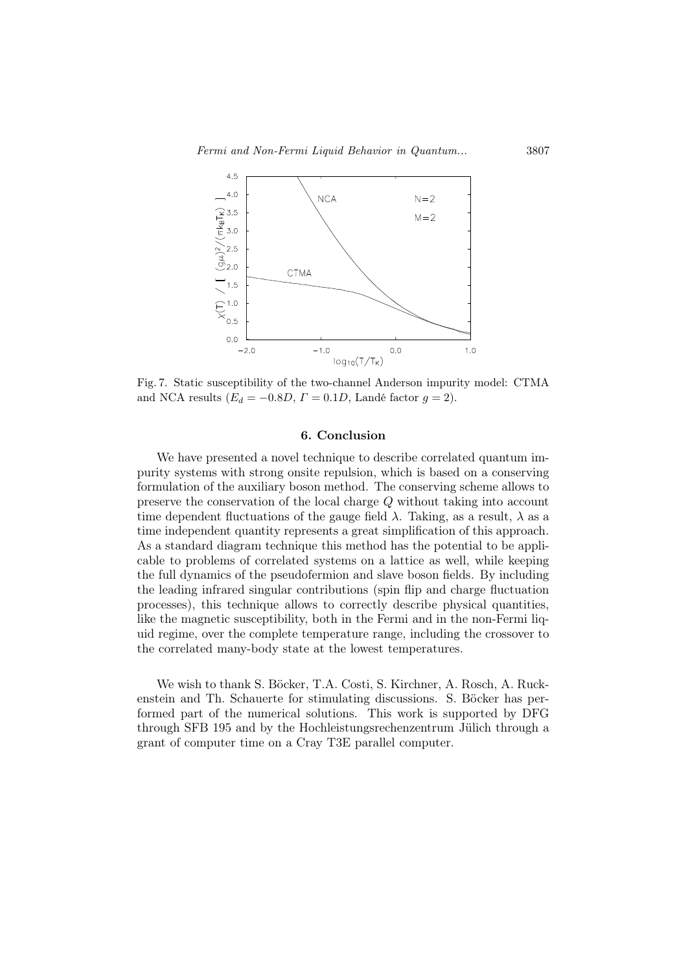Fermi and Non-Fermi Liquid Behavior in Quantum... 3807



Fig. 7. Static susceptibility of the two-channel Anderson impurity model: CTMA and NCA results ( $E_d = -0.8D$ ,  $\Gamma = 0.1D$ , Landé factor  $g = 2$ ).

## 6. Conclusion

We have presented a novel technique to describe correlated quantum impurity systems with strong onsite repulsion, which is based on a conserving formulation of the auxiliary boson method. The conserving scheme allows to preserve the conservation of the local charge  $Q$  without taking into account time dependent fluctuations of the gauge field  $\lambda$ . Taking, as a result,  $\lambda$  as a time independent quantity represents a great simplification of this approach. As a standard diagram technique this method has the potential to be applicable to problems of correlated systems on a lattice as well, while keeping the full dynamics of the pseudofermion and slave boson fields. By including the leading infrared singular contributions (spin flip and charge fluctuation processes), this technique allows to correctly describe physical quantities, like the magnetic susceptibility, both in the Fermi and in the non-Fermi liquid regime, over the complete temperature range, including the crossover to the correlated many-body state at the lowest temperatures.

We wish to thank S. Böcker, T.A. Costi, S. Kirchner, A. Rosch, A. Ruckenstein and Th. Schauerte for stimulating discussions. S. Böcker has performed part of the numerical solutions. This work is supported by DFG through SFB 195 and by the Hochleistungsrechenzentrum Jülich through a grant of computer time on a Cray T3E parallel computer.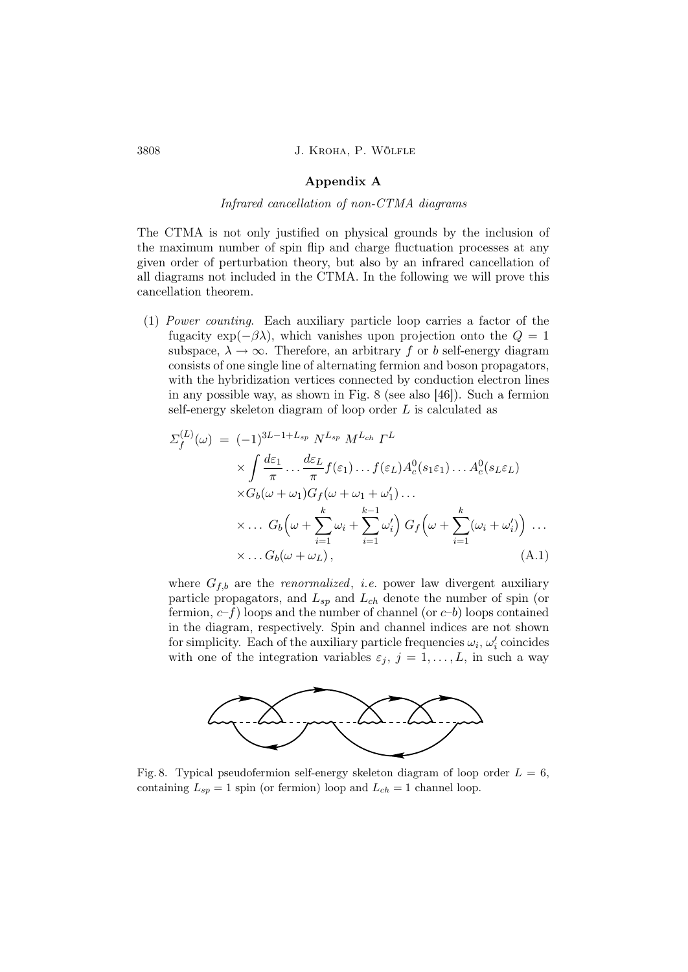### Appendix A

### Infrared cancellation of non-CTMA diagrams

The CTMA is not only justified on physical grounds by the inclusion of the maximum number of spin flip and charge fluctuation processes at any given order of perturbation theory, but also by an infrared cancellation of all diagrams not included in the CTMA. In the following we will prove this cancellation theorem.

(1) Power counting. Each auxiliary particle loop carries a factor of the fugacity exp( $-\beta\lambda$ ), which vanishes upon projection onto the  $Q = 1$ subspace,  $\lambda \to \infty$ . Therefore, an arbitrary f or b self-energy diagram consists of one single line of alternating fermion and boson propagators, with the hybridization vertices connected by conduction electron lines in any possible way, as shown in Fig. 8 (see also [46]). Such a fermion self-energy skeleton diagram of loop order  $L$  is calculated as

$$
\Sigma_f^{(L)}(\omega) = (-1)^{3L-1+L_{sp}} N^{L_{sp}} M^{L_{ch}} \Gamma^L
$$
  
\n
$$
\times \int \frac{d\varepsilon_1}{\pi} \dots \frac{d\varepsilon_L}{\pi} f(\varepsilon_1) \dots f(\varepsilon_L) A_c^0(s_1\varepsilon_1) \dots A_c^0(s_L\varepsilon_L)
$$
  
\n
$$
\times G_b(\omega + \omega_1) G_f(\omega + \omega_1 + \omega'_1) \dots
$$
  
\n
$$
\times \dots G_b\left(\omega + \sum_{i=1}^k \omega_i + \sum_{i=1}^{k-1} \omega'_i\right) G_f\left(\omega + \sum_{i=1}^k (\omega_i + \omega'_i)\right) \dots
$$
  
\n
$$
\times \dots G_b(\omega + \omega_L), \qquad (A.1)
$$

where  $G_{f,b}$  are the *renormalized*, *i.e.* power law divergent auxiliary particle propagators, and  $L_{sp}$  and  $L_{ch}$  denote the number of spin (or fermion,  $c-f$ ) loops and the number of channel (or  $c-b$ ) loops contained in the diagram, respectively. Spin and channel indices are not shown for simplicity. Each of the auxiliary particle frequencies  $\omega_i$ ,  $\omega'_i$  coincides with one of the integration variables  $\varepsilon_j$ ,  $j = 1, \ldots, L$ , in such a way



Fig. 8. Typical pseudofermion self-energy skeleton diagram of loop order  $L = 6$ , containing  $L_{sp} = 1$  spin (or fermion) loop and  $L_{ch} = 1$  channel loop.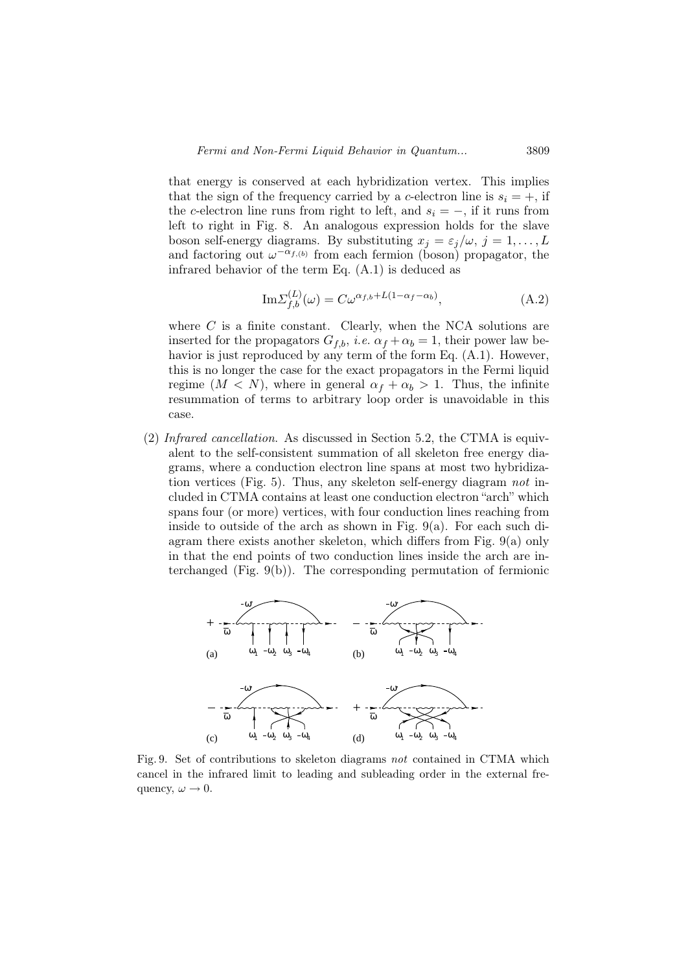that energy is conserved at each hybridization vertex. This implies that the sign of the frequency carried by a c-electron line is  $s_i = +$ , if the c-electron line runs from right to left, and  $s_i = -$ , if it runs from left to right in Fig. 8. An analogous expression holds for the slave boson self-energy diagrams. By substituting  $x_j = \varepsilon_j/\omega$ ,  $j = 1, \ldots, L$ and factoring out  $\omega^{-\alpha_{f,(b)}}$  from each fermion (boson) propagator, the infrared behavior of the term Eq. (A.1) is deduced as

$$
\mathrm{Im}\Sigma_{f,b}^{(L)}(\omega) = C\omega^{\alpha_{f,b}+L(1-\alpha_f-\alpha_b)},\tag{A.2}
$$

where  $C$  is a finite constant. Clearly, when the NCA solutions are inserted for the propagators  $G_{f,b}$ , *i.e.*  $\alpha_f + \alpha_b = 1$ , their power law behavior is just reproduced by any term of the form Eq. (A.1). However, this is no longer the case for the exact propagators in the Fermi liquid regime  $(M < N)$ , where in general  $\alpha_f + \alpha_b > 1$ . Thus, the infinite resummation of terms to arbitrary loop order is unavoidable in this case.

(2) Infrared cancellation. As discussed in Section 5.2, the CTMA is equivalent to the self-consistent summation of all skeleton free energy diagrams, where a conduction electron line spans at most two hybridization vertices (Fig. 5). Thus, any skeleton self-energy diagram not included in CTMA contains at least one conduction electron "arch" which spans four (or more) vertices, with four conduction lines reaching from inside to outside of the arch as shown in Fig. 9(a). For each such diagram there exists another skeleton, which differs from Fig. 9(a) only in that the end points of two conduction lines inside the arch are interchanged (Fig. 9(b)). The corresponding permutation of fermionic



Fig. 9. Set of contributions to skeleton diagrams not contained in CTMA which cancel in the infrared limit to leading and subleading order in the external frequency,  $\omega \rightarrow 0$ .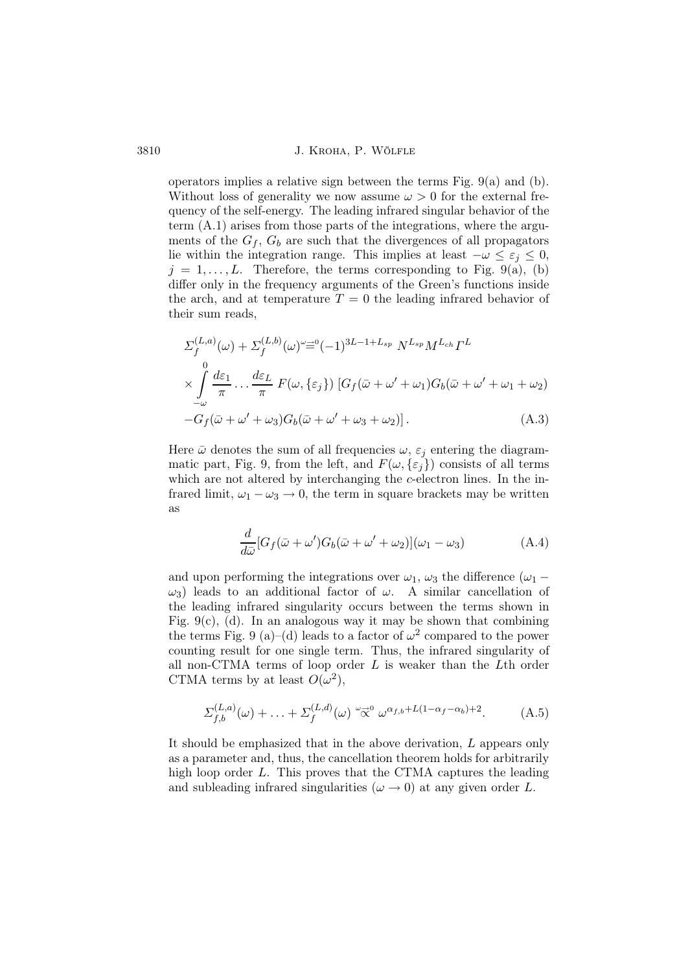operators implies a relative sign between the terms Fig. 9(a) and (b). Without loss of generality we now assume  $\omega > 0$  for the external frequency of the self-energy. The leading infrared singular behavior of the term (A.1) arises from those parts of the integrations, where the arguments of the  $G_f$ ,  $G_b$  are such that the divergences of all propagators lie within the integration range. This implies at least  $-\omega \leq \varepsilon_i \leq 0$ ,  $j = 1, \ldots, L$ . Therefore, the terms corresponding to Fig. 9(a), (b) differ only in the frequency arguments of the Green's functions inside the arch, and at temperature  $T = 0$  the leading infrared behavior of their sum reads,

$$
\Sigma_{f}^{(L,a)}(\omega) + \Sigma_{f}^{(L,b)}(\omega)^{\omega} \equiv^{0} (-1)^{3L-1+L_{sp}} N^{L_{sp}} M^{L_{ch}} \Gamma^{L}
$$
\n
$$
\times \int_{-\omega}^{0} \frac{d\varepsilon_{1}}{\pi} \dots \frac{d\varepsilon_{L}}{\pi} F(\omega, \{\varepsilon_{j}\}) \left[ G_{f}(\bar{\omega} + \omega' + \omega_{1}) G_{b}(\bar{\omega} + \omega' + \omega_{1} + \omega_{2}) -G_{f}(\bar{\omega} + \omega' + \omega_{3}) G_{b}(\bar{\omega} + \omega' + \omega_{3} + \omega_{2}) \right].
$$
\n(A.3)

Here  $\bar{\omega}$  denotes the sum of all frequencies  $\omega$ ,  $\varepsilon_j$  entering the diagrammatic part, Fig. 9, from the left, and  $F(\omega,\{\varepsilon_i\})$  consists of all terms which are not altered by interchanging the  $c$ -electron lines. In the infrared limit,  $\omega_1 - \omega_3 \rightarrow 0$ , the term in square brackets may be written as

$$
\frac{d}{d\bar{\omega}}[G_f(\bar{\omega} + \omega')G_b(\bar{\omega} + \omega' + \omega_2)](\omega_1 - \omega_3)
$$
\n(A.4)

and upon performing the integrations over  $\omega_1$ ,  $\omega_3$  the difference ( $\omega_1$  –  $ω_3$ ) leads to an additional factor of  $ω$ . A similar cancellation of the leading infrared singularity occurs between the terms shown in Fig. 9(c), (d). In an analogous way it may be shown that combining the terms Fig. 9 (a)–(d) leads to a factor of  $\omega^2$  compared to the power counting result for one single term. Thus, the infrared singularity of all non-CTMA terms of loop order  $L$  is weaker than the  $L$ th order CTMA terms by at least  $O(\omega^2)$ ,

$$
\Sigma_{f,b}^{(L,a)}(\omega) + \ldots + \Sigma_f^{(L,d)}(\omega) \stackrel{\omega \to 0}{\propto} \omega^{\alpha_{f,b} + L(1-\alpha_f-\alpha_b)+2}.\tag{A.5}
$$

It should be emphasized that in the above derivation, L appears only as a parameter and, thus, the cancellation theorem holds for arbitrarily high loop order L. This proves that the CTMA captures the leading and subleading infrared singularities ( $\omega \rightarrow 0$ ) at any given order L.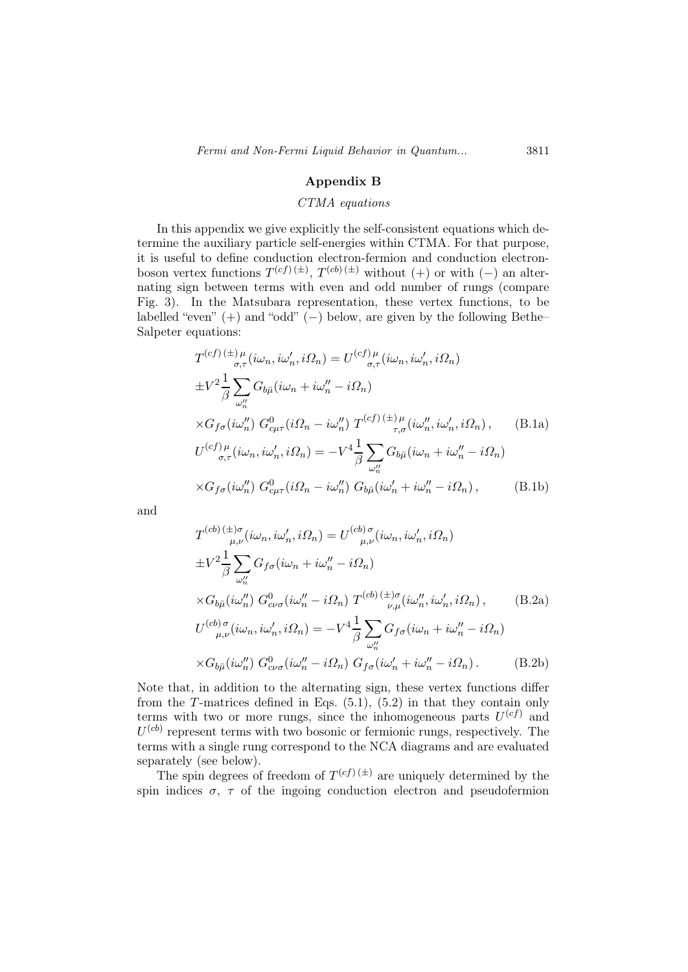### Appendix B

### CTMA equations

In this appendix we give explicitly the self-consistent equations which determine the auxiliary particle self-energies within CTMA. For that purpose, it is useful to define conduction electron-fermion and conduction electronboson vertex functions  $T^{(cf)(\pm)}$ ,  $T^{(cb)(\pm)}$  without (+) or with (-) an alternating sign between terms with even and odd number of rungs (compare Fig. 3). In the Matsubara representation, these vertex functions, to be labelled "even"  $(+)$  and "odd"  $(-)$  below, are given by the following Bethe– Salpeter equations:

$$
T^{(cf)} \stackrel{(\pm)\mu}{\rightarrow} \mu(i\omega_n, i\omega'_n, i\Omega_n) = U^{(cf)\mu} \stackrel{\mu}{\rightarrow} (i\omega_n, i\omega'_n, i\Omega_n)
$$
  
\n
$$
\pm V^2 \frac{1}{\beta} \sum_{\omega''_n} G_{b\bar{\mu}}(i\omega_n + i\omega''_n - i\Omega_n)
$$
  
\n
$$
\times G_{f\sigma}(i\omega''_n) G^0_{c\mu\tau}(i\Omega_n - i\omega''_n) T^{(cf)} \stackrel{(\pm)\mu}{\rightarrow} \mu(i\omega''_n, i\omega'_n, i\Omega_n),
$$
 (B.1a)  
\n
$$
U^{(cf)\mu} \stackrel{\mu}{\rightarrow} (i\omega_n, i\omega'_n, i\Omega_n) = -V^4 \frac{1}{\beta} \sum_{\omega''_n} G_{b\bar{\mu}}(i\omega_n + i\omega''_n - i\Omega_n)
$$
  
\n
$$
\times G_{f\sigma}(i\omega''_n) G^0_{c\mu\tau}(i\Omega_n - i\omega''_n) G_{b\bar{\mu}}(i\omega'_n + i\omega''_n - i\Omega_n),
$$
 (B.1b)

and

$$
T^{(cb)} \stackrel{(\pm)\sigma}{\underset{\mu,\nu}{\mu,\nu}} (i\omega_n, i\omega'_n, i\Omega_n) = U^{(cb)\sigma} \stackrel{(\pm)}{\underset{\mu,\nu}{\mu,\nu}} (i\omega_n, i\omega'_n, i\Omega_n)
$$
  
\n
$$
\pm V^2 \frac{1}{\beta} \sum_{\omega''_n} G_{f\sigma} (i\omega_n + i\omega''_n - i\Omega_n)
$$
  
\n
$$
\times G_{b\bar{\mu}} (i\omega''_n) G^0_{c\nu\sigma} (i\omega''_n - i\Omega_n) T^{(cb)} \stackrel{(\pm)\sigma}{\underset{\nu,\mu}{\mu,\nu}} (i\omega''_n, i\omega'_n, i\Omega_n), \qquad (B.2a)
$$
  
\n
$$
U^{(cb)\sigma} \stackrel{(\pm)}{\underset{\mu,\nu}{\mu,\nu}} (i\omega_n, i\omega'_n, i\Omega_n) = -V^4 \frac{1}{\beta} \sum_{\omega''_n} G_{f\sigma} (i\omega_n + i\omega''_n - i\Omega_n)
$$
  
\n
$$
\times G_{b\bar{\mu}} (i\omega''_n) G^0_{c\nu\sigma} (i\omega''_n - i\Omega_n) G_{f\sigma} (i\omega'_n + i\omega''_n - i\Omega_n).
$$
 (B.2b)

Note that, in addition to the alternating sign, these vertex functions differ from the T-matrices defined in Eqs.  $(5.1)$ ,  $(5.2)$  in that they contain only terms with two or more rungs, since the inhomogeneous parts  $U^{(cf)}$  and  $U^{(cb)}$  represent terms with two bosonic or fermionic rungs, respectively. The terms with a single rung correspond to the NCA diagrams and are evaluated separately (see below).

The spin degrees of freedom of  $T^{(cf)(\pm)}$  are uniquely determined by the spin indices  $\sigma$ ,  $\tau$  of the ingoing conduction electron and pseudofermion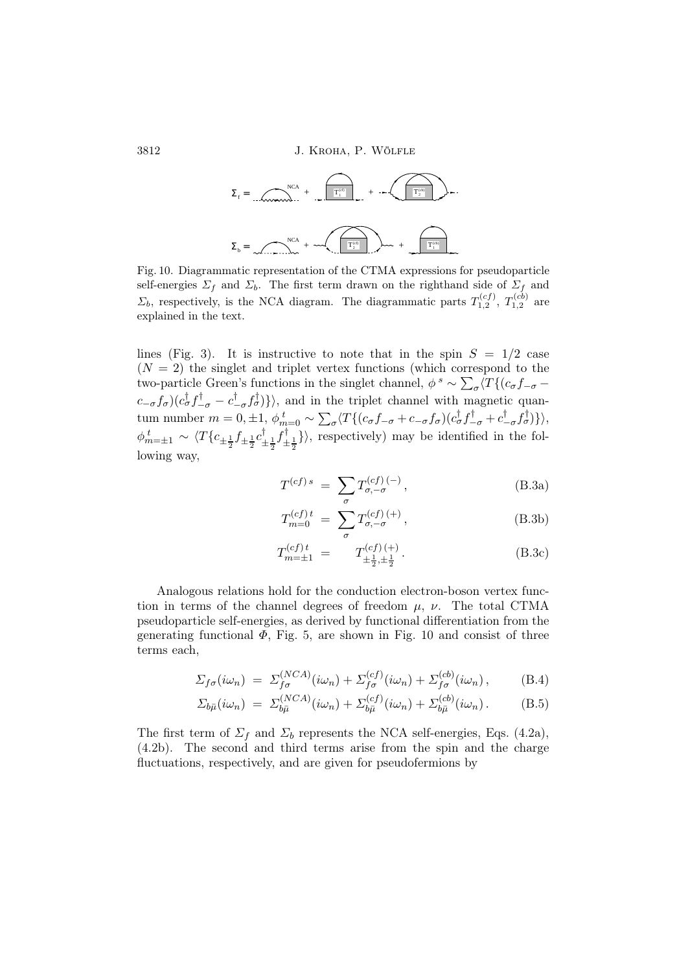

Fig. 10. Diagrammatic representation of the CTMA expressions for pseudoparticle self-energies  $\Sigma_f$  and  $\Sigma_b$ . The first term drawn on the righthand side of  $\Sigma_f$  and  $\Sigma_b$ , respectively, is the NCA diagram. The diagrammatic parts  $T_{1,2}^{(cf)}$ ,  $T_{1,2}^{(cb)}$  are explained in the text.

lines (Fig. 3). It is instructive to note that in the spin  $S = 1/2$  case  $(N = 2)$  the singlet and triplet vertex functions (which correspond to the two-particle Green's functions in the singlet channel,  $\phi^s \sim \sum_{\sigma} \langle T\{(c_{\sigma}f_{-\sigma} (c_{-\sigma} f_{\sigma})(c_{\sigma}^{\dagger} f_{-\sigma}^{\dagger} - c_{-\sigma}^{\dagger})$  $(\frac{\dagger}{\dagger} - \sigma f_{\sigma}^{\dagger})\}$ , and in the triplet channel with magnetic quantum number  $m = 0, \pm 1, \phi_{m=0}^t \sim \sum_{\sigma} \langle T \{ (c_{\sigma} f_{-\sigma} + c_{-\sigma} f_{\sigma}) ( c_{\sigma}^{\dagger} f_{-\sigma}^{\dagger} + c_{-\sigma}^{\dagger} f_{\sigma} ) \rangle \rangle$  $\begin{aligned} \langle \phi_{-\sigma}^{\dagger} f_{\sigma}^{\dagger} \rangle \rangle, \end{aligned}$  $\phi^{\,t}_{m=\pm 1}\sim \langle T\{c_{\pm\frac{1}{2}}f_{\pm\frac{1}{2}}c^\dagger_{\pm}$  $\frac{1}{2}f_{\pm}^{\dagger}$  $\left\{\frac{1}{2}, \frac{1}{2}\right\}$ , respectively) may be identified in the following way,

$$
T^{(cf)s} = \sum_{\sigma} T^{(cf)(-)}_{\sigma,-\sigma}, \qquad (B.3a)
$$

$$
T_{m=0}^{(cf)t} = \sum_{\sigma} T_{\sigma,-\sigma}^{(cf)(+)}, \tag{B.3b}
$$

$$
T_{m=\pm 1}^{(cf)t} = T_{\pm \frac{1}{2}, \pm \frac{1}{2}}^{(cf)(+)}. \tag{B.3c}
$$

Analogous relations hold for the conduction electron-boson vertex function in terms of the channel degrees of freedom  $\mu$ ,  $\nu$ . The total CTMA pseudoparticle self-energies, as derived by functional differentiation from the generating functional  $\Phi$ , Fig. 5, are shown in Fig. 10 and consist of three terms each,

$$
\Sigma_{f\sigma}(i\omega_n) = \Sigma_{f\sigma}^{(NCA)}(i\omega_n) + \Sigma_{f\sigma}^{(cf)}(i\omega_n) + \Sigma_{f\sigma}^{(cb)}(i\omega_n), \tag{B.4}
$$

$$
\Sigma_{b\bar{\mu}}(i\omega_n) = \Sigma_{b\bar{\mu}}^{(NCA)}(i\omega_n) + \Sigma_{b\bar{\mu}}^{(cf)}(i\omega_n) + \Sigma_{b\bar{\mu}}^{(cb)}(i\omega_n). \tag{B.5}
$$

The first term of  $\Sigma_f$  and  $\Sigma_b$  represents the NCA self-energies, Eqs. (4.2a), (4.2b). The second and third terms arise from the spin and the charge fluctuations, respectively, and are given for pseudofermions by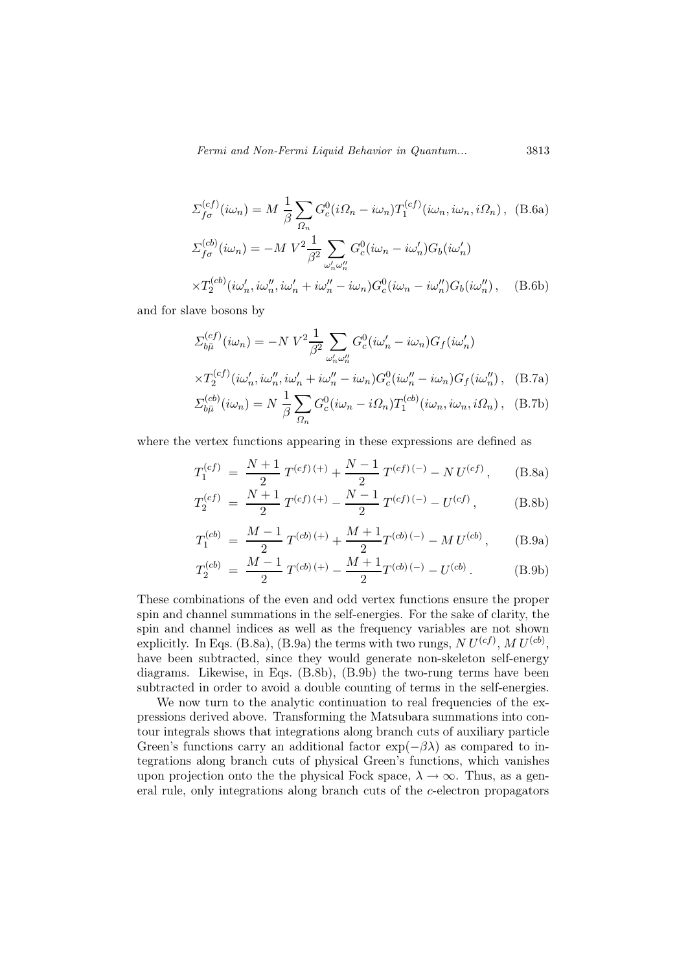Fermi and Non-Fermi Liquid Behavior in Quantum... 3813

$$
\Sigma_{f\sigma}^{(cf)}(i\omega_n) = M \frac{1}{\beta} \sum_{\Omega_n} G_c^0(i\Omega_n - i\omega_n) T_1^{(cf)}(i\omega_n, i\omega_n, i\Omega_n),
$$
 (B.6a)  

$$
\Sigma_{f\sigma}^{(cb)}(i\omega_n) = -M V^2 \frac{1}{\beta^2} \sum_{\omega'_n \omega''_n} G_c^0(i\omega_n - i\omega'_n) G_b(i\omega'_n)
$$

$$
\times T_2^{(cb)}(i\omega'_n, i\omega''_n, i\omega'_n + i\omega''_n - i\omega_n) G_c^0(i\omega_n - i\omega''_n) G_b(i\omega''_n),
$$
 (B.6b)

and for slave bosons by

$$
\Sigma_{b\bar{\mu}}^{(cf)}(i\omega_n) = -N V^2 \frac{1}{\beta^2} \sum_{\omega'_n \omega''_n} G_c^0(i\omega'_n - i\omega_n) G_f(i\omega'_n)
$$
  

$$
\times T_2^{(cf)}(i\omega'_n, i\omega''_n, i\omega'_n + i\omega''_n - i\omega_n) G_c^0(i\omega''_n - i\omega_n) G_f(i\omega''_n), \quad \text{(B.7a)}
$$
  

$$
\Sigma_{b\bar{\mu}}^{(cb)}(i\omega_n) = N \frac{1}{\beta} \sum_{\Omega_n} G_c^0(i\omega_n - i\Omega_n) T_1^{(cb)}(i\omega_n, i\omega_n, i\Omega_n), \quad \text{(B.7b)}
$$

where the vertex functions appearing in these expressions are defined as

$$
T_1^{(cf)} = \frac{N+1}{2} T^{(cf)(+)} + \frac{N-1}{2} T^{(cf)(-)} - N U^{(cf)}, \quad (B.8a)
$$

$$
T_2^{(cf)} = \frac{N+1}{2} T^{(cf)(+)} - \frac{N-1}{2} T^{(cf)(-)} - U^{(cf)}, \tag{B.8b}
$$

$$
T_1^{(cb)} = \frac{M-1}{2} T^{(cb)(+)} + \frac{M+1}{2} T^{(cb)(-)} - M U^{(cb)}, \qquad (B.9a)
$$

$$
T_2^{(cb)} = \frac{M-1}{2} T^{(cb)(+)} - \frac{M+1}{2} T^{(cb)(-)} - U^{(cb)}.
$$
 (B.9b)

These combinations of the even and odd vertex functions ensure the proper spin and channel summations in the self-energies. For the sake of clarity, the spin and channel indices as well as the frequency variables are not shown explicitly. In Eqs. (B.8a), (B.9a) the terms with two rungs,  $N U^{(cf)}$ ,  $M U^{(cb)}$ , have been subtracted, since they would generate non-skeleton self-energy diagrams. Likewise, in Eqs. (B.8b), (B.9b) the two-rung terms have been subtracted in order to avoid a double counting of terms in the self-energies.

We now turn to the analytic continuation to real frequencies of the expressions derived above. Transforming the Matsubara summations into contour integrals shows that integrations along branch cuts of auxiliary particle Green's functions carry an additional factor  $\exp(-\beta \lambda)$  as compared to integrations along branch cuts of physical Green's functions, which vanishes upon projection onto the the physical Fock space,  $\lambda \to \infty$ . Thus, as a general rule, only integrations along branch cuts of the c-electron propagators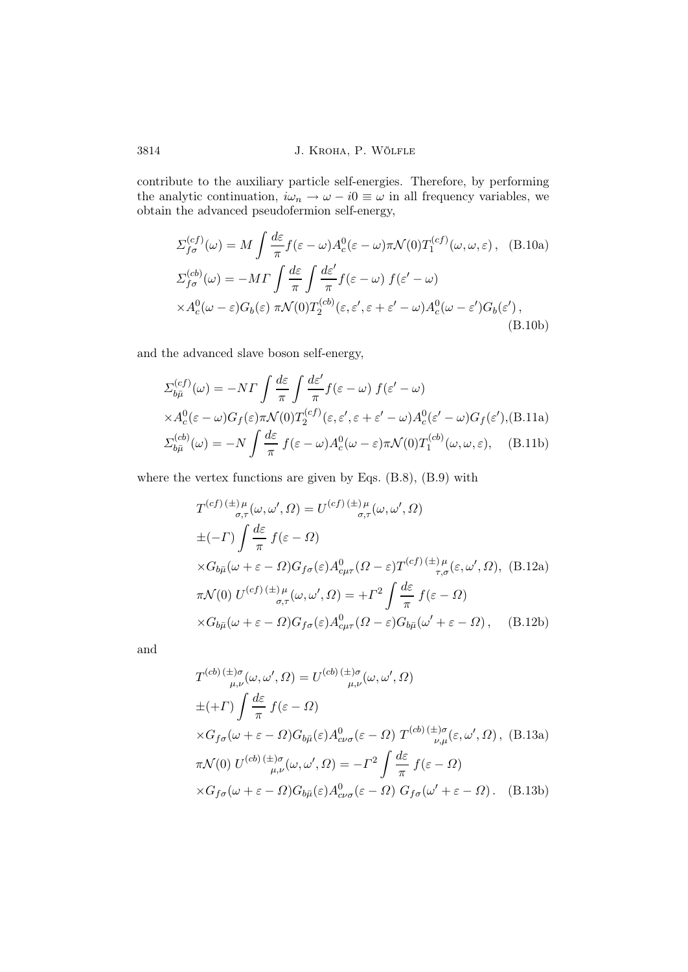contribute to the auxiliary particle self-energies. Therefore, by performing the analytic continuation,  $i\omega_n \to \omega - i0 \equiv \omega$  in all frequency variables, we obtain the advanced pseudofermion self-energy,

$$
\Sigma_{f\sigma}^{(cf)}(\omega) = M \int \frac{d\varepsilon}{\pi} f(\varepsilon - \omega) A_c^0(\varepsilon - \omega) \pi \mathcal{N}(0) T_1^{(cf)}(\omega, \omega, \varepsilon), \quad \text{(B.10a)}
$$
  

$$
\Sigma_{f\sigma}^{(cb)}(\omega) = -M \Gamma \int \frac{d\varepsilon}{\pi} \int \frac{d\varepsilon'}{\pi} f(\varepsilon - \omega) f(\varepsilon' - \omega)
$$
  

$$
\times A_c^0(\omega - \varepsilon) G_b(\varepsilon) \pi \mathcal{N}(0) T_2^{(cb)}(\varepsilon, \varepsilon', \varepsilon + \varepsilon' - \omega) A_c^0(\omega - \varepsilon') G_b(\varepsilon'), \quad \text{(B.10b)}
$$

and the advanced slave boson self-energy,

$$
\Sigma_{b\bar{\mu}}^{(cf)}(\omega) = -N\Gamma \int \frac{d\varepsilon}{\pi} \int \frac{d\varepsilon'}{\pi} f(\varepsilon - \omega) f(\varepsilon' - \omega)
$$
  
 
$$
\times A_c^0(\varepsilon - \omega) G_f(\varepsilon) \pi \mathcal{N}(0) T_2^{(cf)}(\varepsilon, \varepsilon', \varepsilon + \varepsilon' - \omega) A_c^0(\varepsilon' - \omega) G_f(\varepsilon'), \text{(B.11a)}
$$
  
\n
$$
\Sigma_{b\bar{\mu}}^{(cb)}(\omega) = -N \int \frac{d\varepsilon}{\pi} f(\varepsilon - \omega) A_c^0(\omega - \varepsilon) \pi \mathcal{N}(0) T_1^{(cb)}(\omega, \omega, \varepsilon), \quad \text{(B.11b)}
$$

where the vertex functions are given by Eqs. (B.8), (B.9) with

$$
T^{(cf)}(\pm)\mu_{\sigma,\tau}(\omega,\omega',\Omega) = U^{(cf)}(\pm)\mu_{\sigma,\tau}(\omega,\omega',\Omega)
$$
  
\n
$$
\pm(-\Gamma)\int \frac{d\varepsilon}{\pi} f(\varepsilon - \Omega)
$$
  
\n
$$
\times G_{b\bar{\mu}}(\omega + \varepsilon - \Omega)G_{f\sigma}(\varepsilon)A_{c\mu\tau}^{0}(\Omega - \varepsilon)T^{(cf)}(\pm)\mu_{\tau,\sigma}(\varepsilon,\omega',\Omega), \text{ (B.12a)}
$$
  
\n
$$
\pi \mathcal{N}(0) U^{(cf)}(\pm)\mu_{\sigma,\tau}(\omega,\omega',\Omega) = +\Gamma^{2}\int \frac{d\varepsilon}{\pi} f(\varepsilon - \Omega)
$$
  
\n
$$
\times G_{b\bar{\mu}}(\omega + \varepsilon - \Omega)G_{f\sigma}(\varepsilon)A_{c\mu\tau}^{0}(\Omega - \varepsilon)G_{b\bar{\mu}}(\omega' + \varepsilon - \Omega), \text{ (B.12b)}
$$

and

$$
T^{(cb)} \stackrel{(\pm)\sigma}{\mu,\nu}(\omega,\omega',\Omega) = U^{(cb)} \stackrel{(\pm)\sigma}{\mu,\nu}(\omega,\omega',\Omega)
$$
  
\n
$$
\pm (+\Gamma) \int \frac{d\varepsilon}{\pi} f(\varepsilon - \Omega)
$$
  
\n
$$
\times G_{f\sigma}(\omega + \varepsilon - \Omega) G_{b\bar{\mu}}(\varepsilon) A^{0}_{c\nu\sigma}(\varepsilon - \Omega) T^{(cb)} \stackrel{(\pm)\sigma}{\nu,\mu}(\varepsilon,\omega',\Omega), \text{ (B.13a)}
$$
  
\n
$$
\pi \mathcal{N}(0) U^{(cb)} \stackrel{(\pm)\sigma}{\mu,\nu}(\omega,\omega',\Omega) = -\Gamma^{2} \int \frac{d\varepsilon}{\pi} f(\varepsilon - \Omega)
$$
  
\n
$$
\times G_{f\sigma}(\omega + \varepsilon - \Omega) G_{b\bar{\mu}}(\varepsilon) A^{0}_{c\nu\sigma}(\varepsilon - \Omega) G_{f\sigma}(\omega' + \varepsilon - \Omega). \text{ (B.13b)}
$$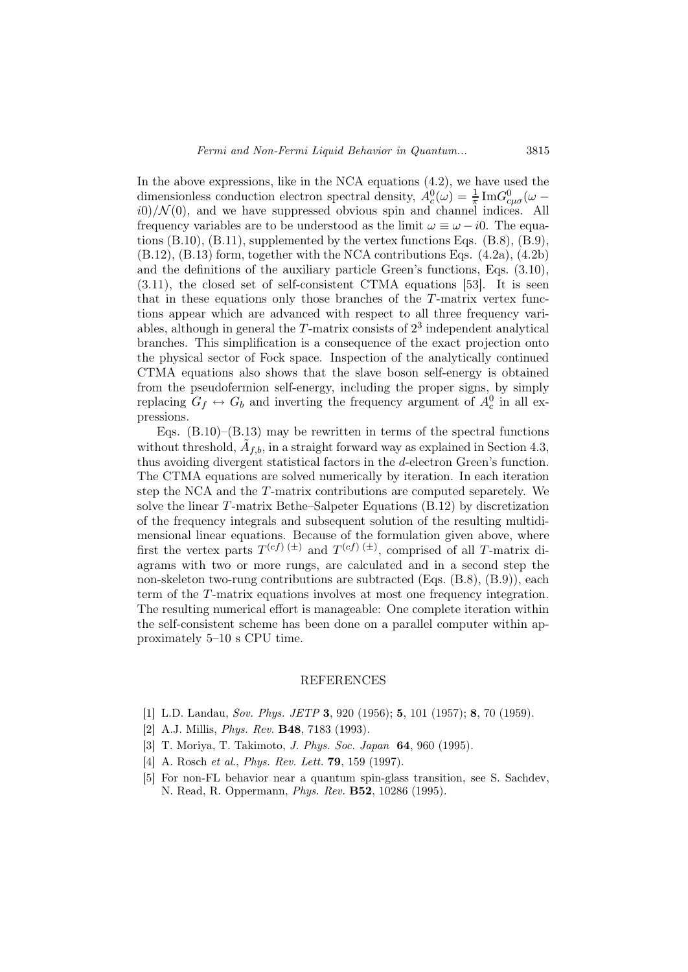In the above expressions, like in the NCA equations (4.2), we have used the dimensionless conduction electron spectral density,  $A_c^0(\omega) = \frac{1}{\pi} \text{Im} G_{c\mu\sigma}^0(\omega - \omega)$  $i(0)/\mathcal{N}(0)$ , and we have suppressed obvious spin and channel indices. All frequency variables are to be understood as the limit  $\omega \equiv \omega - i0$ . The equations  $(B.10)$ ,  $(B.11)$ , supplemented by the vertex functions Eqs.  $(B.8)$ ,  $(B.9)$ ,  $(B.12)$ ,  $(B.13)$  form, together with the NCA contributions Eqs.  $(4.2a)$ ,  $(4.2b)$ and the definitions of the auxiliary particle Green's functions, Eqs. (3.10), (3.11), the closed set of self-consistent CTMA equations [53]. It is seen that in these equations only those branches of the T-matrix vertex functions appear which are advanced with respect to all three frequency variables, although in general the  $T$ -matrix consists of  $2<sup>3</sup>$  independent analytical branches. This simplification is a consequence of the exact projection onto the physical sector of Fock space. Inspection of the analytically continued CTMA equations also shows that the slave boson self-energy is obtained from the pseudofermion self-energy, including the proper signs, by simply replacing  $G_f \leftrightarrow G_b$  and inverting the frequency argument of  $A_c^0$  in all expressions.

Eqs. (B.10)–(B.13) may be rewritten in terms of the spectral functions without threshold,  $\tilde{A}_{f,b}$ , in a straight forward way as explained in Section 4.3, thus avoiding divergent statistical factors in the d-electron Green's function. The CTMA equations are solved numerically by iteration. In each iteration step the NCA and the T-matrix contributions are computed separetely. We solve the linear  $T$ -matrix Bethe–Salpeter Equations (B.12) by discretization of the frequency integrals and subsequent solution of the resulting multidimensional linear equations. Because of the formulation given above, where first the vertex parts  $T^{(cf)}$  ( $\pm$ ) and  $T^{(cf)}$  ( $\pm$ ), comprised of all T-matrix diagrams with two or more rungs, are calculated and in a second step the non-skeleton two-rung contributions are subtracted (Eqs.  $(B.8)$ ,  $(B.9)$ ), each term of the T-matrix equations involves at most one frequency integration. The resulting numerical effort is manageable: One complete iteration within the self-consistent scheme has been done on a parallel computer within approximately 5–10 s CPU time.

#### REFERENCES

- [1] L.D. Landau, Sov. Phys. JETP 3, 920 (1956); 5, 101 (1957); 8, 70 (1959).
- [2] A.J. Millis, Phys. Rev. B48, 7183 (1993).
- [3] T. Moriya, T. Takimoto, J. Phys. Soc. Japan 64, 960 (1995).
- [4] A. Rosch et al., *Phys. Rev. Lett.* **79**, 159 (1997).
- [5] For non-FL behavior near a quantum spin-glass transition, see S. Sachdev, N. Read, R. Oppermann, Phys. Rev. B52, 10286 (1995).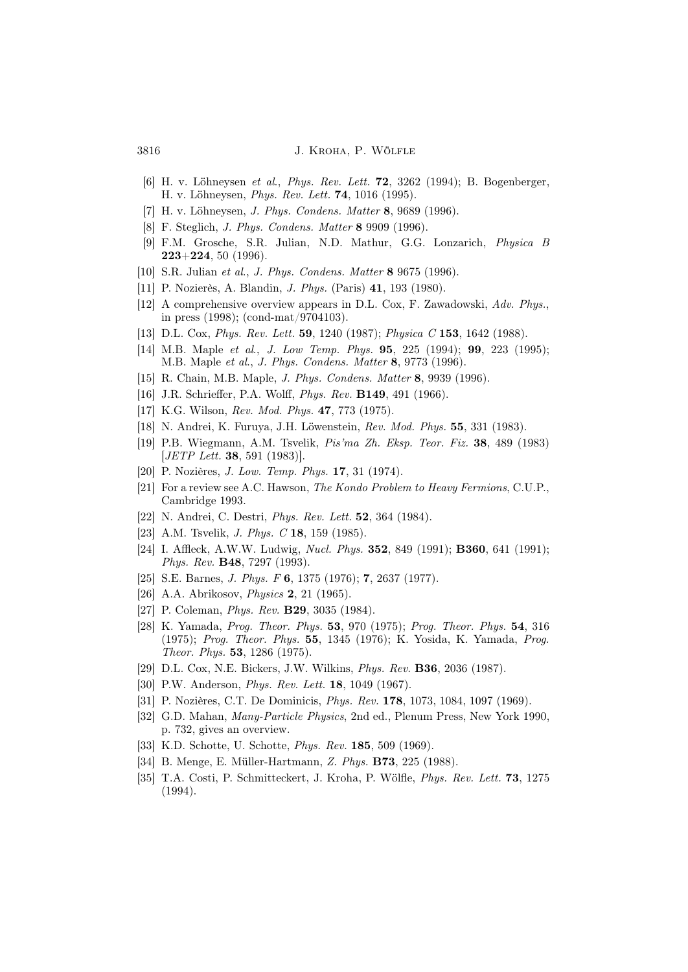- [6] H. v. Löhneysen et al., Phys. Rev. Lett. 72, 3262 (1994); B. Bogenberger, H. v. Löhneysen, Phys. Rev. Lett. 74, 1016 (1995).
- [7] H. v. Löhneysen, J. Phys. Condens. Matter 8, 9689 (1996).
- [8] F. Steglich, J. Phys. Condens. Matter 8 9909 (1996).
- [9] F.M. Grosche, S.R. Julian, N.D. Mathur, G.G. Lonzarich, Physica B  $223+224, 50 (1996).$
- [10] S.R. Julian et al., J. Phys. Condens. Matter 8 9675 (1996).
- [11] P. Nozierès, A. Blandin, J. Phys. (Paris) 41, 193 (1980).
- [12] A comprehensive overview appears in D.L. Cox, F. Zawadowski, Adv. Phys., in press (1998); (cond-mat/9704103).
- [13] D.L. Cox, Phys. Rev. Lett. 59, 1240 (1987); Physica C 153, 1642 (1988).
- [14] M.B. Maple *et al., J. Low Temp. Phys.* **95**, 225 (1994); **99**, 223 (1995); M.B. Maple et al., J. Phys. Condens. Matter 8, 9773 (1996).
- [15] R. Chain, M.B. Maple, J. Phys. Condens. Matter 8, 9939 (1996).
- [16] J.R. Schrieffer, P.A. Wolff, *Phys. Rev.* **B149**, 491 (1966).
- [17] K.G. Wilson, Rev. Mod. Phys. **47**, 773 (1975).
- [18] N. Andrei, K. Furuya, J.H. Löwenstein, Rev. Mod. Phys. 55, 331 (1983).
- [19] P.B. Wiegmann, A.M. Tsvelik, Pis'ma Zh. Eksp. Teor. Fiz. 38, 489 (1983) [JETP Lett. 38, 591 (1983)].
- [20] P. Nozières, *J. Low. Temp. Phys.* **17**, 31 (1974).
- [21] For a review see A.C. Hawson, The Kondo Problem to Heavy Fermions, C.U.P., Cambridge 1993.
- [22] N. Andrei, C. Destri, *Phys. Rev. Lett.* **52**, 364 (1984).
- [23] A.M. Tsvelik, *J. Phys. C* **18**, 159 (1985).
- [24] I. Affleck, A.W.W. Ludwig, Nucl. Phys. 352, 849 (1991); B360, 641 (1991); Phys. Rev. B48, 7297 (1993).
- [25] S.E. Barnes, *J. Phys. F* **6**, 1375 (1976); **7**, 2637 (1977).
- [26] A.A. Abrikosov, *Physics* **2**, 21 (1965).
- [27] P. Coleman, *Phys. Rev.* **B29**, 3035 (1984).
- [28] K. Yamada, *Prog. Theor. Phys.* **53**, 970 (1975); *Prog. Theor. Phys.* **54**, 316 (1975); Prog. Theor. Phys. 55, 1345 (1976); K. Yosida, K. Yamada, Prog. Theor. Phys. 53, 1286 (1975).
- [29] D.L. Cox, N.E. Bickers, J.W. Wilkins, Phys. Rev. B36, 2036 (1987).
- [30] P.W. Anderson, Phys. Rev. Lett. 18, 1049 (1967).
- [31] P. Nozières, C.T. De Dominicis, Phys. Rev. 178, 1073, 1084, 1097 (1969).
- [32] G.D. Mahan, Many-Particle Physics, 2nd ed., Plenum Press, New York 1990, p. 732, gives an overview.
- [33] K.D. Schotte, U. Schotte, *Phys. Rev.* **185**, 509 (1969).
- [34] B. Menge, E. Müller-Hartmann, Z. Phys. B73, 225 (1988).
- [35] T.A. Costi, P. Schmitteckert, J. Kroha, P. Wölfle, Phys. Rev. Lett. 73, 1275 (1994).